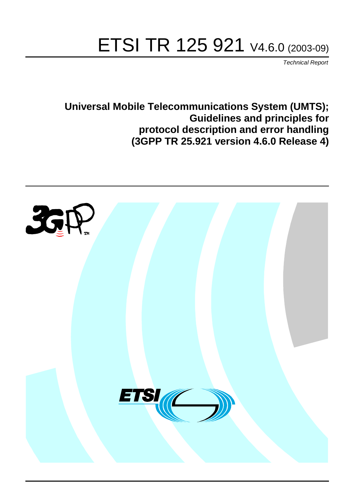# ETSI TR 125 921 V4.6.0 (2003-09)

Technical Report

**Universal Mobile Telecommunications System (UMTS); Guidelines and principles for protocol description and error handling (3GPP TR 25.921 version 4.6.0 Release 4)**

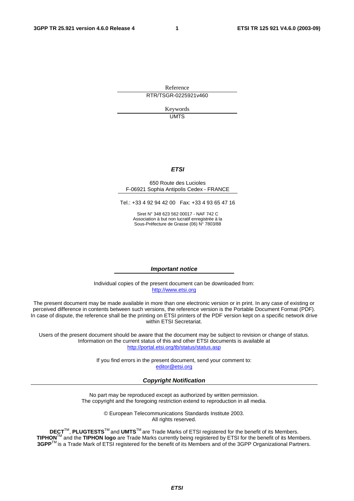Reference RTR/TSGR-0225921v460

> Keywords UMTS

#### **ETSI**

#### 650 Route des Lucioles F-06921 Sophia Antipolis Cedex - FRANCE

Tel.: +33 4 92 94 42 00 Fax: +33 4 93 65 47 16

Siret N° 348 623 562 00017 - NAF 742 C Association à but non lucratif enregistrée à la Sous-Préfecture de Grasse (06) N° 7803/88

#### **Important notice**

Individual copies of the present document can be downloaded from: [http://www.etsi.org](http://www.etsi.org/)

The present document may be made available in more than one electronic version or in print. In any case of existing or perceived difference in contents between such versions, the reference version is the Portable Document Format (PDF). In case of dispute, the reference shall be the printing on ETSI printers of the PDF version kept on a specific network drive within ETSI Secretariat.

Users of the present document should be aware that the document may be subject to revision or change of status. Information on the current status of this and other ETSI documents is available at <http://portal.etsi.org/tb/status/status.asp>

> If you find errors in the present document, send your comment to: [editor@etsi.org](mailto:editor@etsi.org)

#### **Copyright Notification**

No part may be reproduced except as authorized by written permission. The copyright and the foregoing restriction extend to reproduction in all media.

> © European Telecommunications Standards Institute 2003. All rights reserved.

**DECT**TM, **PLUGTESTS**TM and **UMTS**TM are Trade Marks of ETSI registered for the benefit of its Members. **TIPHON**TM and the **TIPHON logo** are Trade Marks currently being registered by ETSI for the benefit of its Members. **3GPP**TM is a Trade Mark of ETSI registered for the benefit of its Members and of the 3GPP Organizational Partners.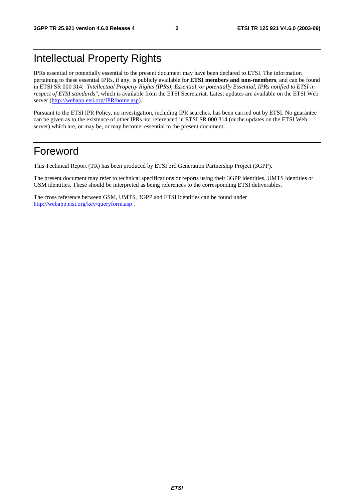## Intellectual Property Rights

IPRs essential or potentially essential to the present document may have been declared to ETSI. The information pertaining to these essential IPRs, if any, is publicly available for **ETSI members and non-members**, and can be found in ETSI SR 000 314: *"Intellectual Property Rights (IPRs); Essential, or potentially Essential, IPRs notified to ETSI in respect of ETSI standards"*, which is available from the ETSI Secretariat. Latest updates are available on the ETSI Web server ([http://webapp.etsi.org/IPR/home.asp\)](http://webapp.etsi.org/IPR/home.asp).

Pursuant to the ETSI IPR Policy, no investigation, including IPR searches, has been carried out by ETSI. No guarantee can be given as to the existence of other IPRs not referenced in ETSI SR 000 314 (or the updates on the ETSI Web server) which are, or may be, or may become, essential to the present document.

## Foreword

This Technical Report (TR) has been produced by ETSI 3rd Generation Partnership Project (3GPP).

The present document may refer to technical specifications or reports using their 3GPP identities, UMTS identities or GSM identities. These should be interpreted as being references to the corresponding ETSI deliverables.

The cross reference between GSM, UMTS, 3GPP and ETSI identities can be found under <http://webapp.etsi.org/key/queryform.asp>.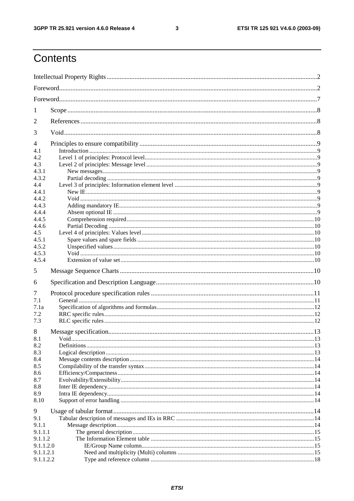$\mathbf{3}$ 

## Contents

| 1                                                                              |  |
|--------------------------------------------------------------------------------|--|
| 2                                                                              |  |
| 3                                                                              |  |
| 4<br>4.1<br>4.2<br>4.3                                                         |  |
| 4.3.1<br>4.3.2<br>4.4<br>4.4.1<br>4.4.2                                        |  |
| 4.4.3<br>4.4.4<br>4.4.5<br>4.4.6<br>4.5                                        |  |
| 4.5.1<br>4.5.2<br>4.5.3<br>4.5.4<br>5                                          |  |
| 6                                                                              |  |
| 7<br>7.1<br>7.1a<br>7.2<br>7.3                                                 |  |
| 8<br>8.1<br>8.2<br>8.3<br>8.4<br>8.5<br>8.6<br>8.7<br>8.8<br>8.9<br>8.10       |  |
| 9<br>9.1<br>9.1.1<br>9.1.1.1<br>9.1.1.2<br>9.1.1.2.0<br>9.1.1.2.1<br>9.1.1.2.2 |  |
|                                                                                |  |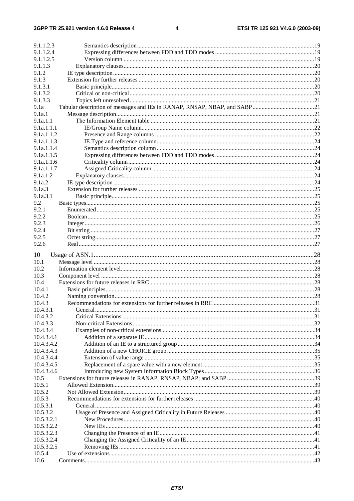| 9.1.1.2.3  |  |
|------------|--|
| 9.1.1.2.4  |  |
| 9.1.1.2.5  |  |
| 9.1.1.3    |  |
| 9.1.2      |  |
| 9.1.3      |  |
| 9.1.3.1    |  |
| 9.1.3.2    |  |
| 9.1.3.3    |  |
| 9.1a       |  |
| 9.1a.1     |  |
| 9.1a.1.1   |  |
| 9.1a.1.1.1 |  |
| 9.1a.1.1.2 |  |
| 9.1a.1.1.3 |  |
| 9.1a.1.1.4 |  |
| 9.1a.1.1.5 |  |
| 9.1a.1.1.6 |  |
| 9.1a.1.1.7 |  |
| 9.1a.1.2   |  |
| 9.1a.2     |  |
| 9.1a.3     |  |
| 9.1a.3.1   |  |
| 9.2        |  |
| 9.2.1      |  |
| 9.2.2      |  |
| 9.2.3      |  |
| 9.2.4      |  |
| 9.2.5      |  |
| 9.2.6      |  |
| 10         |  |
| 10.1       |  |
| 10.2       |  |
| 10.3       |  |
| 10.4       |  |
| 10.4.1     |  |
| 10.4.2     |  |
| 10.4.3     |  |
| 10.4.3.1   |  |
| 10.4.3.2   |  |
| 10.4.3.3   |  |
| 10.4.3.4   |  |
| 10.4.3.4.1 |  |
| 10.4.3.4.2 |  |
| 10.4.3.4.3 |  |
| 10.4.3.4.4 |  |
| 10.4.3.4.5 |  |
| 10.4.3.4.6 |  |
| 10.5       |  |
| 10.5.1     |  |
| 10.5.2     |  |
| 10.5.3     |  |
| 10.5.3.1   |  |
| 10.5.3.2   |  |
| 10.5.3.2.1 |  |
| 10.5.3.2.2 |  |
| 10.5.3.2.3 |  |
| 10.5.3.2.4 |  |
| 10.5.3.2.5 |  |
| 10.5.4     |  |
| 10.6       |  |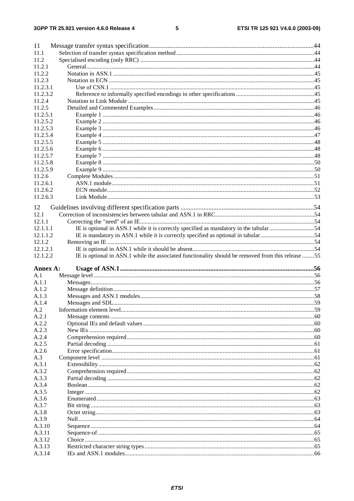#### $\overline{\mathbf{5}}$

| 11               |                                                                                                   |  |
|------------------|---------------------------------------------------------------------------------------------------|--|
| 11.1             |                                                                                                   |  |
| 11.2             |                                                                                                   |  |
| 11.2.1           |                                                                                                   |  |
| 11.2.2           |                                                                                                   |  |
| 11.2.3           |                                                                                                   |  |
| 11.2.3.1         |                                                                                                   |  |
| 11.2.3.2         |                                                                                                   |  |
| 11.2.4           |                                                                                                   |  |
| 11.2.5           |                                                                                                   |  |
| 11.2.5.1         |                                                                                                   |  |
| 11.2.5.2         |                                                                                                   |  |
| 11.2.5.3         |                                                                                                   |  |
| 11.2.5.4         |                                                                                                   |  |
| 11.2.5.5         |                                                                                                   |  |
| 11.2.5.6         |                                                                                                   |  |
| 11.2.5.7         |                                                                                                   |  |
| 11.2.5.8         |                                                                                                   |  |
| 11.2.5.9         |                                                                                                   |  |
| 11.2.6           |                                                                                                   |  |
| 11.2.6.1         |                                                                                                   |  |
| 11.2.6.2         |                                                                                                   |  |
| 11.2.6.3         |                                                                                                   |  |
| 12               |                                                                                                   |  |
| 12.1             |                                                                                                   |  |
| 12.1.1           |                                                                                                   |  |
| 12.1.1.1         | IE is optional in ASN.1 while it is correctly specified as mandatory in the tabular54             |  |
| 12.1.1.2         | IE is mandatory in ASN.1 while it is correctly specified as optional in tabular54                 |  |
| 12.1.2           |                                                                                                   |  |
| 12.1.2.1         |                                                                                                   |  |
|                  |                                                                                                   |  |
|                  |                                                                                                   |  |
| 12.1.2.2         | IE is optional in ASN.1 while the associated functionality should be removed from this release 55 |  |
| Annex A:         |                                                                                                   |  |
| A.1              |                                                                                                   |  |
| A.1.1            |                                                                                                   |  |
| A.1.2            |                                                                                                   |  |
| A.1.3            |                                                                                                   |  |
| A.1.4            |                                                                                                   |  |
| A.2              |                                                                                                   |  |
| A.2.1            |                                                                                                   |  |
| A.2.2            |                                                                                                   |  |
| A.2.3            |                                                                                                   |  |
| A.2.4            |                                                                                                   |  |
| A.2.5            |                                                                                                   |  |
| A.2.6            |                                                                                                   |  |
| A.3              |                                                                                                   |  |
| A.3.1            |                                                                                                   |  |
|                  |                                                                                                   |  |
| A.3.2<br>A.3.3   |                                                                                                   |  |
| A.3.4            |                                                                                                   |  |
| A.3.5            |                                                                                                   |  |
| A.3.6            |                                                                                                   |  |
| A.3.7            |                                                                                                   |  |
| A.3.8            |                                                                                                   |  |
| A.3.9            |                                                                                                   |  |
| A.3.10           |                                                                                                   |  |
| A.3.11           |                                                                                                   |  |
| A.3.12           |                                                                                                   |  |
| A.3.13<br>A.3.14 |                                                                                                   |  |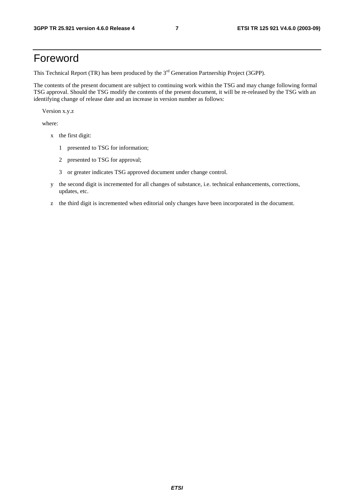## Foreword

This Technical Report (TR) has been produced by the 3<sup>rd</sup> Generation Partnership Project (3GPP).

The contents of the present document are subject to continuing work within the TSG and may change following formal TSG approval. Should the TSG modify the contents of the present document, it will be re-released by the TSG with an identifying change of release date and an increase in version number as follows:

Version x.y.z

where:

- x the first digit:
	- 1 presented to TSG for information;
	- 2 presented to TSG for approval;
	- 3 or greater indicates TSG approved document under change control.
- y the second digit is incremented for all changes of substance, i.e. technical enhancements, corrections, updates, etc.
- z the third digit is incremented when editorial only changes have been incorporated in the document.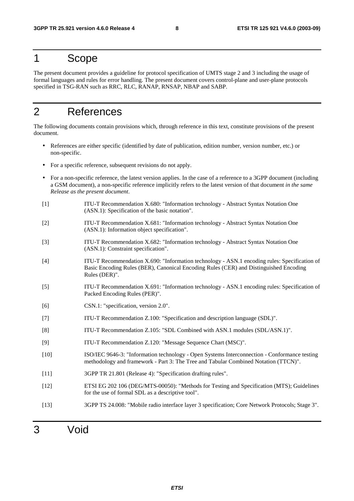## 1 Scope

The present document provides a guideline for protocol specification of UMTS stage 2 and 3 including the usage of formal languages and rules for error handling. The present document covers control-plane and user-plane protocols specified in TSG-RAN such as RRC, RLC, RANAP, RNSAP, NBAP and SABP.

## 2 References

The following documents contain provisions which, through reference in this text, constitute provisions of the present document.

- References are either specific (identified by date of publication, edition number, version number, etc.) or non-specific.
- For a specific reference, subsequent revisions do not apply.
- For a non-specific reference, the latest version applies. In the case of a reference to a 3GPP document (including a GSM document), a non-specific reference implicitly refers to the latest version of that document *in the same Release as the present document*.
- [1] ITU-T Recommendation X.680: "Information technology Abstract Syntax Notation One (ASN.1): Specification of the basic notation".
- [2] ITU-T Recommendation X.681: "Information technology Abstract Syntax Notation One (ASN.1): Information object specification".
- [3] ITU-T Recommendation X.682: "Information technology Abstract Syntax Notation One (ASN.1): Constraint specification".
- [4] ITU-T Recommendation X.690: "Information technology ASN.1 encoding rules: Specification of Basic Encoding Rules (BER), Canonical Encoding Rules (CER) and Distinguished Encoding Rules (DER)".
- [5] ITU-T Recommendation X.691: "Information technology ASN.1 encoding rules: Specification of Packed Encoding Rules (PER)".
- [6] CSN.1: "specification, version 2.0".
- [7] ITU-T Recommendation Z.100: "Specification and description language (SDL)".
- [8] ITU-T Recommendation Z.105: "SDL Combined with ASN.1 modules (SDL/ASN.1)".
- [9] ITU-T Recommendation Z.120: "Message Sequence Chart (MSC)".
- [10] ISO/IEC 9646-3: "Information technology Open Systems Interconnection Conformance testing methodology and framework - Part 3: The Tree and Tabular Combined Notation (TTCN)".
- [11] 3GPP TR 21.801 (Release 4): "Specification drafting rules".
- [12] ETSI EG 202 106 (DEG/MTS-00050): "Methods for Testing and Specification (MTS); Guidelines for the use of formal SDL as a descriptive tool".
- [13] 3GPP TS 24.008: "Mobile radio interface layer 3 specification; Core Network Protocols; Stage 3".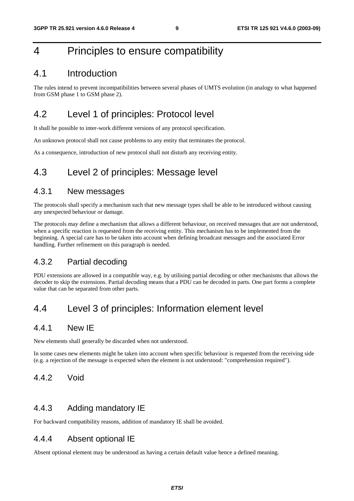## 4 Principles to ensure compatibility

## 4.1 Introduction

The rules intend to prevent incompatibilities between several phases of UMTS evolution (in analogy to what happened from GSM phase 1 to GSM phase 2).

## 4.2 Level 1 of principles: Protocol level

It shall be possible to inter-work different versions of any protocol specification.

An unknown protocol shall not cause problems to any entity that terminates the protocol.

As a consequence, introduction of new protocol shall not disturb any receiving entity.

## 4.3 Level 2 of principles: Message level

### 4.3.1 New messages

The protocols shall specify a mechanism such that new message types shall be able to be introduced without causing any unexpected behaviour or damage.

The protocols may define a mechanism that allows a different behaviour, on received messages that are not understood, when a specific reaction is requested from the receiving entity. This mechanism has to be implemented from the beginning. A special care has to be taken into account when defining broadcast messages and the associated Error handling. Further refinement on this paragraph is needed.

## 4.3.2 Partial decoding

PDU extensions are allowed in a compatible way, e.g. by utilising partial decoding or other mechanisms that allows the decoder to skip the extensions. Partial decoding means that a PDU can be decoded in parts. One part forms a complete value that can be separated from other parts.

## 4.4 Level 3 of principles: Information element level

## 4.4.1 New IE

New elements shall generally be discarded when not understood.

In some cases new elements might be taken into account when specific behaviour is requested from the receiving side (e.g. a rejection of the message is expected when the element is not understood: "comprehension required").

### 4.4.2 Void

### 4.4.3 Adding mandatory IE

For backward compatibility reasons, addition of mandatory IE shall be avoided.

### 4.4.4 Absent optional IE

Absent optional element may be understood as having a certain default value hence a defined meaning.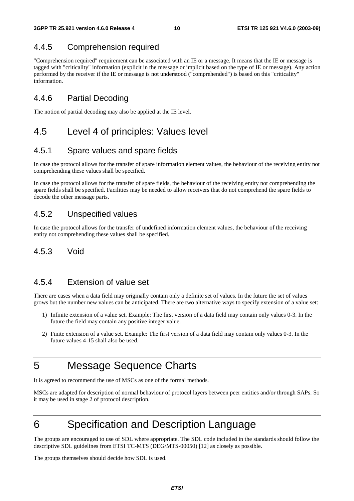## 4.4.5 Comprehension required

"Comprehension required" requirement can be associated with an IE or a message. It means that the IE or message is tagged with "criticality" information (explicit in the message or implicit based on the type of IE or message). Any action performed by the receiver if the IE or message is not understood ("comprehended") is based on this "criticality" information.

## 4.4.6 Partial Decoding

The notion of partial decoding may also be applied at the IE level.

## 4.5 Level 4 of principles: Values level

### 4.5.1 Spare values and spare fields

In case the protocol allows for the transfer of spare information element values, the behaviour of the receiving entity not comprehending these values shall be specified.

In case the protocol allows for the transfer of spare fields, the behaviour of the receiving entity not comprehending the spare fields shall be specified. Facilities may be needed to allow receivers that do not comprehend the spare fields to decode the other message parts.

## 4.5.2 Unspecified values

In case the protocol allows for the transfer of undefined information element values, the behaviour of the receiving entity not comprehending these values shall be specified.

## 4.5.3 Void

### 4.5.4 Extension of value set

There are cases when a data field may originally contain only a definite set of values. In the future the set of values grows but the number new values can be anticipated. There are two alternative ways to specify extension of a value set:

- 1) Infinite extension of a value set. Example: The first version of a data field may contain only values 0-3. In the future the field may contain any positive integer value.
- 2) Finite extension of a value set. Example: The first version of a data field may contain only values 0-3. In the future values 4-15 shall also be used.

## 5 Message Sequence Charts

It is agreed to recommend the use of MSCs as one of the formal methods.

MSCs are adapted for description of normal behaviour of protocol layers between peer entities and/or through SAPs. So it may be used in stage 2 of protocol description.

## 6 Specification and Description Language

The groups are encouraged to use of SDL where appropriate. The SDL code included in the standards should follow the descriptive SDL guidelines from ETSI TC-MTS (DEG/MTS-00050) [12] as closely as possible.

The groups themselves should decide how SDL is used.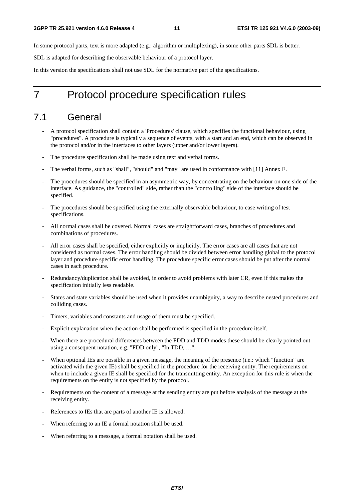In some protocol parts, text is more adapted (e.g.: algorithm or multiplexing), in some other parts SDL is better.

SDL is adapted for describing the observable behaviour of a protocol layer.

In this version the specifications shall not use SDL for the normative part of the specifications.

## 7 Protocol procedure specification rules

## 7.1 General

- A protocol specification shall contain a 'Procedures' clause, which specifies the functional behaviour, using "procedures". A procedure is typically a sequence of events, with a start and an end, which can be observed in the protocol and/or in the interfaces to other layers (upper and/or lower layers).
- The procedure specification shall be made using text and verbal forms.
- The verbal forms, such as "shall", "should" and "may" are used in conformance with [11] Annex E.
- The procedures should be specified in an asymmetric way, by concentrating on the behaviour on one side of the interface. As guidance, the "controlled" side, rather than the "controlling" side of the interface should be specified.
- The procedures should be specified using the externally observable behaviour, to ease writing of test specifications.
- All normal cases shall be covered. Normal cases are straightforward cases, branches of procedures and combinations of procedures.
- All error cases shall be specified, either explicitly or implicitly. The error cases are all cases that are not considered as normal cases. The error handling should be divided between error handling global to the protocol layer and procedure specific error handling. The procedure specific error cases should be put after the normal cases in each procedure.
- Redundancy/duplication shall be avoided, in order to avoid problems with later CR, even if this makes the specification initially less readable.
- States and state variables should be used when it provides unambiguity, a way to describe nested procedures and colliding cases.
- Timers, variables and constants and usage of them must be specified.
- Explicit explanation when the action shall be performed is specified in the procedure itself.
- When there are procedural differences between the FDD and TDD modes these should be clearly pointed out using a consequent notation, e.g. "FDD only", "In TDD, …".
- When optional IEs are possible in a given message, the meaning of the presence (i.e.: which "function" are activated with the given IE) shall be specified in the procedure for the receiving entity. The requirements on when to include a given IE shall be specified for the transmitting entity. An exception for this rule is when the requirements on the entity is not specified by the protocol.
- Requirements on the content of a message at the sending entity are put before analysis of the message at the receiving entity.
- References to IEs that are parts of another IE is allowed.
- When referring to an IE a formal notation shall be used.
- When referring to a message, a formal notation shall be used.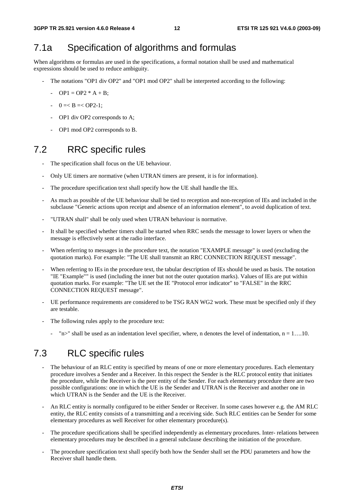## 7.1a Specification of algorithms and formulas

When algorithms or formulas are used in the specifications, a formal notation shall be used and mathematical expressions should be used to reduce ambiguity.

- The notations "OP1 div OP2" and "OP1 mod OP2" shall be interpreted according to the following:
	- $OP1 = OP2 * A + B$ ;
	- $-$  0 =  $B = <$  OP2-1;
	- OP1 div OP2 corresponds to A;
	- OP1 mod OP2 corresponds to B.

## 7.2 RRC specific rules

- The specification shall focus on the UE behaviour.
- Only UE timers are normative (when UTRAN timers are present, it is for information).
- The procedure specification text shall specify how the UE shall handle the IEs.
- As much as possible of the UE behaviour shall be tied to reception and non-reception of IEs and included in the subclause "Generic actions upon receipt and absence of an information element", to avoid duplication of text.
- "UTRAN shall" shall be only used when UTRAN behaviour is normative.
- It shall be specified whether timers shall be started when RRC sends the message to lower layers or when the message is effectively sent at the radio interface.
- When referring to messages in the procedure text, the notation "EXAMPLE message" is used (excluding the quotation marks). For example: "The UE shall transmit an RRC CONNECTION REQUEST message".
- When referring to IEs in the procedure text, the tabular description of IEs should be used as basis. The notation "IE "Example"" is used (including the inner but not the outer quotation marks). Values of IEs are put within quotation marks. For example: "The UE set the IE "Protocol error indicator" to "FALSE" in the RRC CONNECTION REQUEST message".
- UE performance requirements are considered to be TSG RAN WG2 work. These must be specified only if they are testable.
- The following rules apply to the procedure text:
	- "n>" shall be used as an indentation level specifier, where, n denotes the level of indentation,  $n = 1$ ....10.

## 7.3 RLC specific rules

- The behaviour of an RLC entity is specified by means of one or more elementary procedures. Each elementary procedure involves a Sender and a Receiver. In this respect the Sender is the RLC protocol entity that initiates the procedure, while the Receiver is the peer entity of the Sender. For each elementary procedure there are two possible configurations: one in which the UE is the Sender and UTRAN is the Receiver and another one in which UTRAN is the Sender and the UE is the Receiver.
- An RLC entity is normally configured to be either Sender or Receiver. In some cases however e.g. the AM RLC entity, the RLC entity consists of a transmitting and a receiving side. Such RLC entities can be Sender for some elementary procedures as well Receiver for other elementary procedure(s).
- The procedure specifications shall be specified independently as elementary procedures. Inter- relations between elementary procedures may be described in a general subclause describing the initiation of the procedure.
- The procedure specification text shall specify both how the Sender shall set the PDU parameters and how the Receiver shall handle them.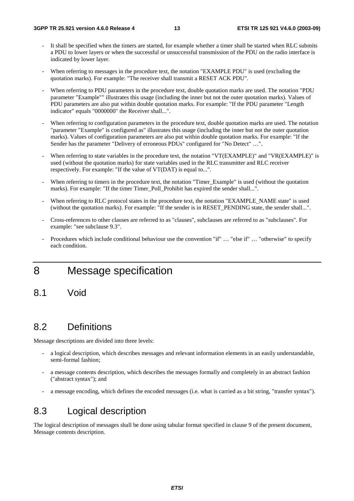- It shall be specified when the timers are started, for example whether a timer shall be started when RLC submits a PDU to lower layers or when the successful or unsuccessful transmission of the PDU on the radio interface is indicated by lower layer.
- When referring to messages in the procedure text, the notation "EXAMPLE PDU" is used (excluding the quotation marks). For example: "The receiver shall transmit a RESET ACK PDU".
- When referring to PDU parameters in the procedure text, double quotation marks are used. The notation "PDU" parameter "Example"" illustrates this usage (including the inner but not the outer quotation marks). Values of PDU parameters are also put within double quotation marks. For example: "If the PDU parameter "Length indicator" equals "0000000" the Receiver shall...".
- When referring to configuration parameters in the procedure text, double quotation marks are used. The notation "parameter "Example" is configured as" illustrates this usage (including the inner but not the outer quotation marks). Values of configuration parameters are also put within double quotation marks. For example: "If the Sender has the parameter "Delivery of erroneous PDUs" configured for "No Detect" …".
- When referring to state variables in the procedure text, the notation "VT(EXAMPLE)" and "VR(EXAMPLE)" is used (without the quotation marks) for state variables used in the RLC transmitter and RLC receiver respectively. For example: "If the value of VT(DAT) is equal to...".
- When referring to timers in the procedure text, the notation "Timer\_Example" is used (without the quotation marks). For example: "If the timer Timer Poll Prohibit has expired the sender shall...".
- When referring to RLC protocol states in the procedure text, the notation "EXAMPLE\_NAME state" is used (without the quotation marks). For example: "If the sender is in RESET\_PENDING state, the sender shall...".
- Cross-references to other clauses are referred to as "clauses", subclauses are referred to as "subclauses". For example: "see subclause 9.3".
- Procedures which include conditional behaviour use the convention "if" … "else if" … "otherwise" to specify each condition.

## 8 Message specification

8.1 Void

## 8.2 Definitions

Message descriptions are divided into three levels:

- a logical description, which describes messages and relevant information elements in an easily understandable, semi-formal fashion;
- a message contents description, which describes the messages formally and completely in an abstract fashion ("abstract syntax"); and
- a message encoding, which defines the encoded messages (i.e. what is carried as a bit string, "transfer syntax").

## 8.3 Logical description

The logical description of messages shall be done using tabular format specified in clause 9 of the present document, Message contents description.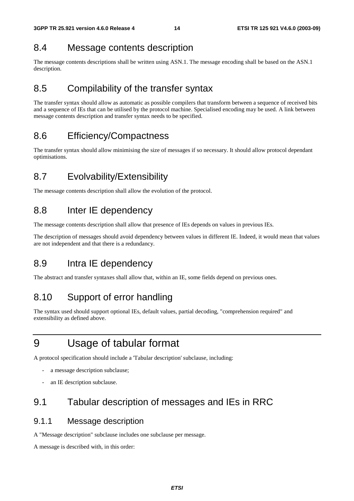## 8.4 Message contents description

The message contents descriptions shall be written using ASN.1. The message encoding shall be based on the ASN.1 description.

## 8.5 Compilability of the transfer syntax

The transfer syntax should allow as automatic as possible compilers that transform between a sequence of received bits and a sequence of IEs that can be utilised by the protocol machine. Specialised encoding may be used. A link between message contents description and transfer syntax needs to be specified.

## 8.6 Efficiency/Compactness

The transfer syntax should allow minimising the size of messages if so necessary. It should allow protocol dependant optimisations.

## 8.7 Evolvability/Extensibility

The message contents description shall allow the evolution of the protocol.

## 8.8 Inter IE dependency

The message contents description shall allow that presence of IEs depends on values in previous IEs.

The description of messages should avoid dependency between values in different IE. Indeed, it would mean that values are not independent and that there is a redundancy.

## 8.9 Intra IE dependency

The abstract and transfer syntaxes shall allow that, within an IE, some fields depend on previous ones.

## 8.10 Support of error handling

The syntax used should support optional IEs, default values, partial decoding, "comprehension required" and extensibility as defined above.

## 9 Usage of tabular format

A protocol specification should include a 'Tabular description' subclause, including:

- a message description subclause;
- an IE description subclause.

## 9.1 Tabular description of messages and IEs in RRC

## 9.1.1 Message description

A "Message description" subclause includes one subclause per message.

A message is described with, in this order: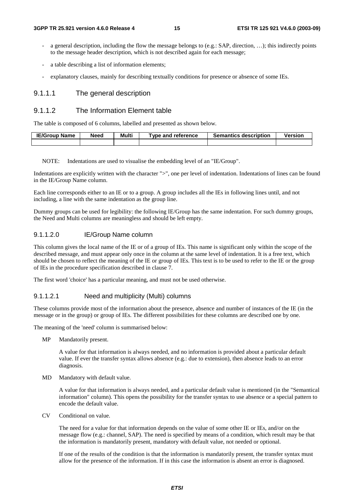- a general description, including the flow the message belongs to (e.g.: SAP, direction, ...); this indirectly points to the message header description, which is not described again for each message;
- a table describing a list of information elements;
- explanatory clauses, mainly for describing textually conditions for presence or absence of some IEs.

#### 9.1.1.1 The general description

#### 9.1.1.2 The Information Element table

The table is composed of 6 columns, labelled and presented as shown below.

| <b>IE/Group Name</b> | <b>Need</b> | Multi | Type and reference | <b>Semantics description</b> | Version |
|----------------------|-------------|-------|--------------------|------------------------------|---------|
|                      |             |       |                    |                              |         |

NOTE: Indentations are used to visualise the embedding level of an "IE/Group".

Indentations are explicitly written with the character ">", one per level of indentation. Indentations of lines can be found in the IE/Group Name column.

Each line corresponds either to an IE or to a group. A group includes all the IEs in following lines until, and not including, a line with the same indentation as the group line.

Dummy groups can be used for legibility: the following IE/Group has the same indentation. For such dummy groups, the Need and Multi columns are meaningless and should be left empty.

#### 9.1.1.2.0 IE/Group Name column

This column gives the local name of the IE or of a group of IEs. This name is significant only within the scope of the described message, and must appear only once in the column at the same level of indentation. It is a free text, which should be chosen to reflect the meaning of the IE or group of IEs. This text is to be used to refer to the IE or the group of IEs in the procedure specification described in clause 7.

The first word 'choice' has a particular meaning, and must not be used otherwise.

#### 9.1.1.2.1 Need and multiplicity (Multi) columns

These columns provide most of the information about the presence, absence and number of instances of the IE (in the message or in the group) or group of IEs. The different possibilities for these columns are described one by one.

The meaning of the 'need' column is summarised below:

MP Mandatorily present.

 A value for that information is always needed, and no information is provided about a particular default value. If ever the transfer syntax allows absence (e.g.: due to extension), then absence leads to an error diagnosis.

MD Mandatory with default value.

 A value for that information is always needed, and a particular default value is mentioned (in the "Semantical information" column). This opens the possibility for the transfer syntax to use absence or a special pattern to encode the default value.

CV Conditional on value.

 The need for a value for that information depends on the value of some other IE or IEs, and/or on the message flow (e.g.: channel, SAP). The need is specified by means of a condition, which result may be that the information is mandatorily present, mandatory with default value, not needed or optional.

 If one of the results of the condition is that the information is mandatorily present, the transfer syntax must allow for the presence of the information. If in this case the information is absent an error is diagnosed.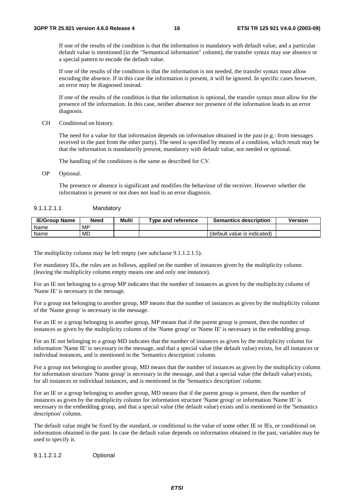If one of the results of the condition is that the information is mandatory with default value, and a particular default value is mentioned (in the "Semantical information" column), the transfer syntax may use absence or a special pattern to encode the default value.

 If one of the results of the condition is that the information is not needed, the transfer syntax must allow encoding the absence. If in this case the information is present, it will be ignored. In specific cases however, an error may be diagnosed instead.

 If one of the results of the condition is that the information is optional, the transfer syntax must allow for the presence of the information. In this case, neither absence nor presence of the information leads to an error diagnosis.

CH Conditional on history.

 The need for a value for that information depends on information obtained in the past (e.g.: from messages received in the past from the other party). The need is specified by means of a condition, which result may be that the information is mandatorily present, mandatory with default value, not needed or optional.

The handling of the conditions is the same as described for CV.

OP Optional.

 The presence or absence is significant and modifies the behaviour of the receiver. However whether the information is present or not does not lead to an error diagnosis.

#### 9.1.1.2.1.1 Mandatory

| <b>IE/Group Name</b> | <b>Need</b> | Multi | Tvpe and reference | <b>Semantics description</b> | Version |
|----------------------|-------------|-------|--------------------|------------------------------|---------|
| Name                 | MP.         |       |                    |                              |         |
| Name                 | MD          |       |                    | (default value is indicated) |         |

The multiplicity column may be left empty (see subclause 9.1.1.2.1.5).

For mandatory IEs, the rules are as follows, applied on the number of instances given by the multiplicity column (leaving the multiplicity column empty means one and only one instance).

For an IE not belonging to a group MP indicates that the number of instances as given by the multiplicity column of 'Name IE' is necessary in the message.

For a group not belonging to another group, MP means that the number of instances as given by the multiplicity column of the 'Name group' is necessary in the message.

For an IE or a group belonging to another group, MP means that if the parent group is present, then the number of instances as given by the multiplicity column of the 'Name group' or 'Name IE' is necessary in the embedding group.

For an IE not belonging to a group MD indicates that the number of instances as given by the multiplicity column for information 'Name IE' is necessary in the message, and that a special value (the default value) exists, for all instances or individual instances, and is mentioned in the 'Semantics description' column.

For a group not belonging to another group, MD means that the number of instances as given by the multiplicity column for information structure 'Name group' is necessary in the message, and that a special value (the default value) exists, for all instances or individual instances, and is mentioned in the 'Semantics description' column.

For an IE or a group belonging to another group, MD means that if the parent group is present, then the number of instances as given by the multiplicity column for information structure 'Name group' or information 'Name IE' is necessary in the embedding group, and that a special value (the default value) exists and is mentioned in the 'Semantics description' column.

The default value might be fixed by the standard, or conditional to the value of some other IE or IEs, or conditional on information obtained in the past. In case the default value depends on information obtained in the past, variables may be used to specify it.

9.1.1.2.1.2 Optional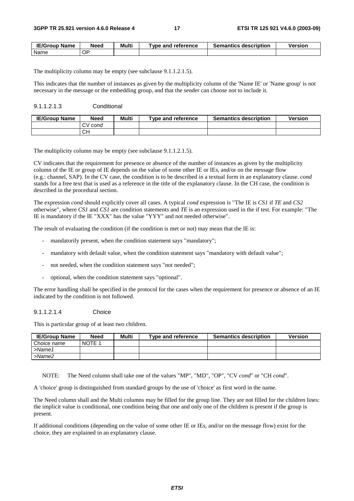| <b>IE/Group Name</b> | Need | Multi | $\tau$ vpe and reference $\epsilon$ | <b>Semantics description</b> | Version |
|----------------------|------|-------|-------------------------------------|------------------------------|---------|
| Name                 | ОP   |       |                                     |                              |         |

The multiplicity column may be empty (see subclause 9.1.1.2.1.5).

This indicates that the number of instances as given by the multiplicity column of the 'Name IE' or 'Name group' is not necessary in the message or the embedding group, and that the sender can choose not to include it.

#### 9.1.1.2.1.3 Conditional

| <b>IE/Group Name</b> | Need       | Multi | Tvpe and reference | <b>Semantics description</b> | Version |
|----------------------|------------|-------|--------------------|------------------------------|---------|
|                      | cond<br>C۷ |       |                    |                              |         |
|                      | CН         |       |                    |                              |         |

The multiplicity column may be empty (see subclause 9.1.1.2.1.5).

CV indicates that the requirement for presence or absence of the number of instances as given by the multiplicity column of the IE or group of IE depends on the value of some other IE or IEs, and/or on the message flow (e.g.: channel, SAP). In the CV case, the condition is to be described in a textual form in an explanatory clause. *cond* stands for a free text that is used as a reference in the title of the explanatory clause. In the CH case, the condition is described in the procedural section.

The expression *cond* should explicitly cover all cases. A typical *cond* expression is "The IE is *CS1* if *TE* and *CS2* otherwise", where *CS1* and *CS1* are condition statements and *TE* is an expression used in the if test. For example: "The IE is mandatory if the IE "XXX" has the value "YYY" and not needed otherwise".

The result of evaluating the condition (if the condition is met or not) may mean that the IE is:

- mandatorily present, when the condition statement says "mandatory";
- mandatory with default value, when the condition statement says "mandatory with default value";
- not needed, when the condition statement says "not needed";
- optional, when the condition statement says "optional".

The error handling shall be specified in the protocol for the cases when the requirement for presence or absence of an IE indicated by the condition is not followed.

#### 9.1.1.2.1.4 Choice

This is particular group of at least two children.

| <b>IE/Group Name</b> | Need   | Multi | Type and reference | <b>Semantics description</b> | <b>Version</b> |
|----------------------|--------|-------|--------------------|------------------------------|----------------|
| Choice name          | NOTE 1 |       |                    |                              |                |
| >Name1               |        |       |                    |                              |                |
| >Name2               |        |       |                    |                              |                |

NOTE: The Need column shall take one of the values "MP", "MD", "OP", "CV *cond*" or "CH *cond*".

A 'choice' group is distinguished from standard groups by the use of 'choice' as first word in the name.

The Need column shall and the Multi columns may be filled for the group line. They are not filled for the children lines: the implicit value is conditional, one condition being that one and only one of the children is present if the group is present.

If additional conditions (depending on the value of some other IE or IEs, and/or on the message flow) exist for the choice, they are explained in an explanatory clause.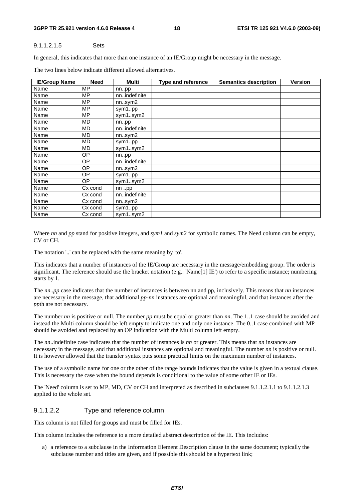#### **3GPP TR 25.921 version 4.6.0 Release 4 18 ETSI TR 125 921 V4.6.0 (2003-09)**

#### 9.1.1.2.1.5 Sets

In general, this indicates that more than one instance of an IE/Group might be necessary in the message.

| <b>IE/Group Name</b> | <b>Need</b> | Multi         | <b>Type and reference</b> | <b>Semantics description</b> | <b>Version</b> |
|----------------------|-------------|---------------|---------------------------|------------------------------|----------------|
| Name                 | <b>MP</b>   | nnpp          |                           |                              |                |
| Name                 | <b>MP</b>   | nnindefinite  |                           |                              |                |
| Name                 | МP          | nnsym2        |                           |                              |                |
| Name                 | МP          | sym1pp        |                           |                              |                |
| Name                 | <b>MP</b>   | sym1sym2      |                           |                              |                |
| Name                 | <b>MD</b>   | nnpp          |                           |                              |                |
| Name                 | MD          | nnindefinite  |                           |                              |                |
| Name                 | <b>MD</b>   | nnsym2        |                           |                              |                |
| Name                 | MD          | sym1pp        |                           |                              |                |
| Name                 | <b>MD</b>   | sym1sym2      |                           |                              |                |
| Name                 | ОP          | nnpp          |                           |                              |                |
| Name                 | OP          | nnindefinite  |                           |                              |                |
| Name                 | ОP          | nnsym2        |                           |                              |                |
| Name                 | ОP          | sym1pp        |                           |                              |                |
| Name                 | ОP          | sym1sym2      |                           |                              |                |
| Name                 | Cx cond     | nn pp         |                           |                              |                |
| Name                 | Cx cond     | nnindefinite  |                           |                              |                |
| Name                 | Cx cond     | $nn.$ sym $2$ |                           |                              |                |
| Name                 | Cx cond     | sym1pp        |                           |                              |                |
| Name                 | Cx cond     | sym1sym2      |                           |                              |                |

The two lines below indicate different allowed alternatives.

Where *nn* and *pp* stand for positive integers, and *sym1* and *sym2* for symbolic names. The Need column can be empty, CV or CH.

The notation '..' can be replaced with the same meaning by 'to'.

This indicates that a number of instances of the IE/Group are necessary in the message/embedding group. The order is significant. The reference should use the bracket notation (e.g.: 'Name[1] IE') to refer to a specific instance; numbering starts by 1.

The *nn..pp* case indicates that the number of instances is between nn and pp, inclusively. This means that *nn* instances are necessary in the message, that additional *pp*-*nn* instances are optional and meaningful, and that instances after the *pp*th are not necessary.

The number *nn* is positive or null. The number *pp* must be equal or greater than *nn*. The 1..1 case should be avoided and instead the Multi column should be left empty to indicate one and only one instance. The 0..1 case combined with MP should be avoided and replaced by an OP indication with the Multi column left empty.

The *nn*..indefinite case indicates that the number of instances is *nn* or greater. This means that *nn* instances are necessary in the message, and that additional instances are optional and meaningful. The number *nn* is positive or null. It is however allowed that the transfer syntax puts some practical limits on the maximum number of instances.

The use of a symbolic name for one or the other of the range bounds indicates that the value is given in a textual clause. This is necessary the case when the bound depends is conditional to the value of some other IE or IEs.

The 'Need' column is set to MP, MD, CV or CH and interpreted as described in subclauses 9.1.1.2.1.1 to 9.1.1.2.1.3 applied to the whole set.

#### 9.1.1.2.2 Type and reference column

This column is not filled for groups and must be filled for IEs.

This column includes the reference to a more detailed abstract description of the IE. This includes:

a) a reference to a subclause in the Information Element Description clause in the same document; typically the subclause number and titles are given, and if possible this should be a hypertext link;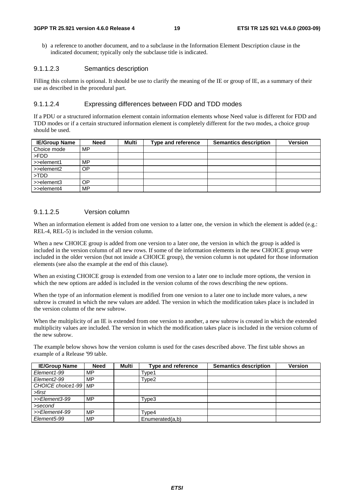b) a reference to another document, and to a subclause in the Information Element Description clause in the indicated document; typically only the subclause title is indicated.

#### 9.1.1.2.3 Semantics description

Filling this column is optional. It should be use to clarify the meaning of the IE or group of IE, as a summary of their use as described in the procedural part.

#### 9.1.1.2.4 Expressing differences between FDD and TDD modes

If a PDU or a structured information element contain information elements whose Need value is different for FDD and TDD modes or if a certain structured information element is completely different for the two modes, a choice group should be used.

| <b>IE/Group Name</b>      | <b>Need</b> | Multi | Type and reference | <b>Semantics description</b> | <b>Version</b> |
|---------------------------|-------------|-------|--------------------|------------------------------|----------------|
| Choice mode               | MP          |       |                    |                              |                |
| l >FDD                    |             |       |                    |                              |                |
| $\Rightarrow$ >>element1  | MP.         |       |                    |                              |                |
| $\Rightarrow$ >>element2  | OΡ          |       |                    |                              |                |
| $\blacktriangleright$ TDD |             |       |                    |                              |                |
| $\Rightarrow$ >>element3  | OΡ          |       |                    |                              |                |
| $\Rightarrow$ element4    | MP          |       |                    |                              |                |

#### 9.1.1.2.5 Version column

When an information element is added from one version to a latter one, the version in which the element is added (e.g.: REL-4, REL-5) is included in the version column.

When a new CHOICE group is added from one version to a later one, the version in which the group is added is included in the version column of all new rows. If some of the information elements in the new CHOICE group were included in the older version (but not inside a CHOICE group), the version column is not updated for those information elements (see also the example at the end of this clause).

When an existing CHOICE group is extended from one version to a later one to include more options, the version in which the new options are added is included in the version column of the rows describing the new options.

When the type of an information element is modified from one version to a later one to include more values, a new subrow is created in which the new values are added. The version in which the modification takes place is included in the version column of the new subrow.

When the multiplicity of an IE is extended from one version to another, a new subrow is created in which the extended multiplicity values are included. The version in which the modification takes place is included in the version column of the new subrow.

The example below shows how the version column is used for the cases described above. The first table shows an example of a Release '99 table.

| <b>IE/Group Name</b>     | <b>Need</b> | Multi | <b>Type and reference</b> | <b>Semantics description</b> | <b>Version</b> |
|--------------------------|-------------|-------|---------------------------|------------------------------|----------------|
| Element1-99              | MP          |       | Type1                     |                              |                |
| Element2-99              | MP          |       | Type2                     |                              |                |
| CHOICE choice 1-99   MP  |             |       |                           |                              |                |
| >first                   |             |       |                           |                              |                |
| >>Element3-99            | <b>MP</b>   |       | Type3                     |                              |                |
| >second                  |             |       |                           |                              |                |
| >>Element4-99            | <b>MP</b>   |       | Tvpe4                     |                              |                |
| Element <sub>5</sub> -99 | MP          |       | Enumerated $(a,b)$        |                              |                |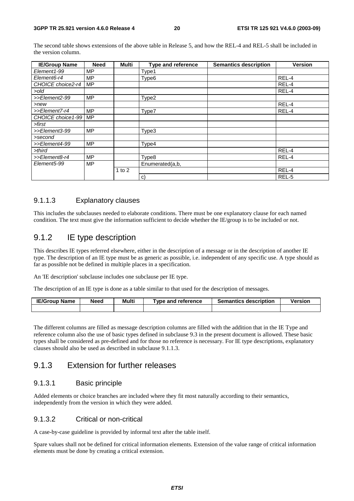The second table shows extensions of the above table in Release 5, and how the REL-4 and REL-5 shall be included in the version column.

| <b>IE/Group Name</b> | <b>Need</b> | Multi    | <b>Type and reference</b> | <b>Semantics description</b> | <b>Version</b> |
|----------------------|-------------|----------|---------------------------|------------------------------|----------------|
| Element1-99          | MP          |          | Type1                     |                              |                |
| Element6-r4          | MP          |          | Type <sub>6</sub>         |                              | REL-4          |
| CHOICE choice2-r4    | <b>MP</b>   |          |                           |                              | REL-4          |
| >old                 |             |          |                           |                              | REL-4          |
| >>Element2-99        | <b>MP</b>   |          | Type2                     |                              |                |
| $>$ new              |             |          |                           |                              | REL-4          |
| >>Element7-r4        | <b>MP</b>   |          | Type7                     |                              | REL-4          |
| CHOICE choice1-99    | <b>MP</b>   |          |                           |                              |                |
| >first               |             |          |                           |                              |                |
| >>Element3-99        | <b>MP</b>   |          | Type3                     |                              |                |
| >second              |             |          |                           |                              |                |
| >>Element4-99        | МP          |          | Type4                     |                              |                |
| >third               |             |          |                           |                              | REL-4          |
| >>Element8-r4        | <b>MP</b>   |          | Type8                     |                              | REL-4          |
| Element5-99          | <b>MP</b>   |          | Enumerated(a,b,           |                              |                |
|                      |             | 1 to $2$ |                           |                              | REL-4          |
|                      |             |          | C)                        |                              | REL-5          |

### 9.1.1.3 Explanatory clauses

This includes the subclauses needed to elaborate conditions. There must be one explanatory clause for each named condition. The text must give the information sufficient to decide whether the IE/group is to be included or not.

### 9.1.2 IE type description

This describes IE types referred elsewhere, either in the description of a message or in the description of another IE type. The description of an IE type must be as generic as possible, i.e. independent of any specific use. A type should as far as possible not be defined in multiple places in a specification.

An 'IE description' subclause includes one subclause per IE type.

The description of an IE type is done as a table similar to that used for the description of messages.

| <b>IE/Group Name</b> | Need | Multi | Tvpe and reference | <b>Semantics description</b> | /ersion |
|----------------------|------|-------|--------------------|------------------------------|---------|
|                      |      |       |                    |                              |         |

The different columns are filled as message description columns are filled with the addition that in the IE Type and reference column also the use of basic types defined in subclause 9.3 in the present document is allowed. These basic types shall be considered as pre-defined and for those no reference is necessary. For IE type descriptions, explanatory clauses should also be used as described in subclause 9.1.1.3.

### 9.1.3 Extension for further releases

#### 9.1.3.1 Basic principle

Added elements or choice branches are included where they fit most naturally according to their semantics, independently from the version in which they were added.

#### 9.1.3.2 Critical or non-critical

A case-by-case guideline is provided by informal text after the table itself.

Spare values shall not be defined for critical information elements. Extension of the value range of critical information elements must be done by creating a critical extension.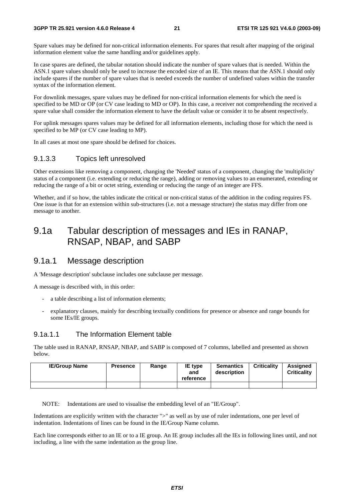#### **3GPP TR 25.921 version 4.6.0 Release 4 21 ETSI TR 125 921 V4.6.0 (2003-09)**

Spare values may be defined for non-critical information elements. For spares that result after mapping of the original information element value the same handling and/or guidelines apply.

In case spares are defined, the tabular notation should indicate the number of spare values that is needed. Within the ASN.1 spare values should only be used to increase the encoded size of an IE. This means that the ASN.1 should only include spares if the number of spare values that is needed exceeds the number of undefined values within the transfer syntax of the information element.

For downlink messages, spare values may be defined for non-critical information elements for which the need is specified to be MD or OP (or CV case leading to MD or OP). In this case, a receiver not comprehending the received a spare value shall consider the information element to have the default value or consider it to be absent respectively.

For uplink messages spares values may be defined for all information elements, including those for which the need is specified to be MP (or CV case leading to MP).

In all cases at most one spare should be defined for choices.

#### 9.1.3.3 Topics left unresolved

Other extensions like removing a component, changing the 'Needed' status of a component, changing the 'multiplicity' status of a component (i.e. extending or reducing the range), adding or removing values to an enumerated, extending or reducing the range of a bit or octet string, extending or reducing the range of an integer are FFS.

Whether, and if so how, the tables indicate the critical or non-critical status of the addition in the coding requires FS. One issue is that for an extension within sub-structures (i.e. not a message structure) the status may differ from one message to another.

## 9.1a Tabular description of messages and IEs in RANAP, RNSAP, NBAP, and SABP

### 9.1a.1 Message description

A 'Message description' subclause includes one subclause per message.

A message is described with, in this order:

- a table describing a list of information elements;
- explanatory clauses, mainly for describing textually conditions for presence or absence and range bounds for some IEs/IE groups.

#### 9.1a.1.1 The Information Element table

The table used in RANAP, RNSAP, NBAP, and SABP is composed of 7 columns, labelled and presented as shown below.

| <b>IE/Group Name</b> | <b>Presence</b> | Range | IE type<br>and<br>reference | <b>Semantics</b><br>description | <b>Criticality</b> | <b>Assigned</b><br><b>Criticality</b> |
|----------------------|-----------------|-------|-----------------------------|---------------------------------|--------------------|---------------------------------------|
|                      |                 |       |                             |                                 |                    |                                       |

NOTE: Indentations are used to visualise the embedding level of an "IE/Group".

Indentations are explicitly written with the character ">" as well as by use of ruler indentations, one per level of indentation. Indentations of lines can be found in the IE/Group Name column.

Each line corresponds either to an IE or to a IE group. An IE group includes all the IEs in following lines until, and not including, a line with the same indentation as the group line.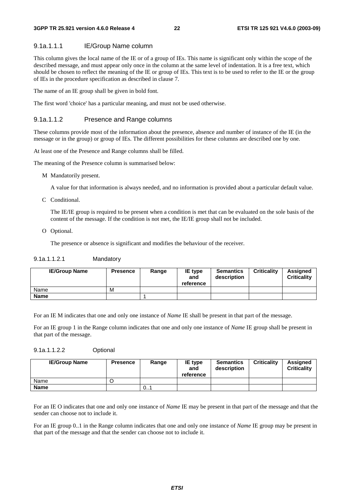#### 9.1a.1.1.1 IE/Group Name column

This column gives the local name of the IE or of a group of IEs. This name is significant only within the scope of the described message, and must appear only once in the column at the same level of indentation. It is a free text, which should be chosen to reflect the meaning of the IE or group of IEs. This text is to be used to refer to the IE or the group of IEs in the procedure specification as described in clause 7.

The name of an IE group shall be given in bold font.

The first word 'choice' has a particular meaning, and must not be used otherwise.

#### 9.1a.1.1.2 Presence and Range columns

These columns provide most of the information about the presence, absence and number of instance of the IE (in the message or in the group) or group of IEs. The different possibilities for these columns are described one by one.

At least one of the Presence and Range columns shall be filled.

The meaning of the Presence column is summarised below:

M Mandatorily present.

A value for that information is always needed, and no information is provided about a particular default value.

C Conditional.

 The IE/IE group is required to be present when a condition is met that can be evaluated on the sole basis of the content of the message. If the condition is not met, the IE/IE group shall not be included.

O Optional.

The presence or absence is significant and modifies the behaviour of the receiver.

#### 9.1a.1.1.2.1 Mandatory

| <b>IE/Group Name</b> | <b>Presence</b> | Range | IE type<br>and<br>reference | <b>Semantics</b><br>description | <b>Criticality</b> | Assigned<br><b>Criticality</b> |
|----------------------|-----------------|-------|-----------------------------|---------------------------------|--------------------|--------------------------------|
| Name                 | M               |       |                             |                                 |                    |                                |
| <b>Name</b>          |                 |       |                             |                                 |                    |                                |

For an IE M indicates that one and only one instance of *Name* IE shall be present in that part of the message.

For an IE group 1 in the Range column indicates that one and only one instance of *Name* IE group shall be present in that part of the message.

#### 9.1a.1.1.2.2 Optional

| <b>IE/Group Name</b> | <b>Presence</b> | Range | <b>IE</b> type<br>and<br>reference | <b>Semantics</b><br>description | <b>Criticality</b> | <b>Assigned</b><br><b>Criticality</b> |
|----------------------|-----------------|-------|------------------------------------|---------------------------------|--------------------|---------------------------------------|
| Name                 |                 |       |                                    |                                 |                    |                                       |
| <b>Name</b>          |                 | 0     |                                    |                                 |                    |                                       |

For an IE O indicates that one and only one instance of *Name* IE may be present in that part of the message and that the sender can choose not to include it.

For an IE group 0..1 in the Range column indicates that one and only one instance of *Name* IE group may be present in that part of the message and that the sender can choose not to include it.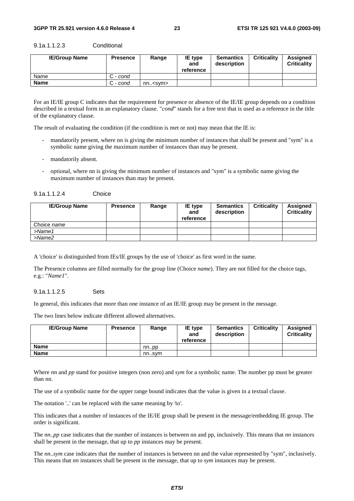| <b>IE/Group Name</b> | <b>Presence</b> | Range          | <b>IE</b> type<br>and<br>reference | <b>Semantics</b><br>description | <b>Criticality</b> | <b>Assigned</b><br><b>Criticality</b> |
|----------------------|-----------------|----------------|------------------------------------|---------------------------------|--------------------|---------------------------------------|
| Name                 | C - cond        |                |                                    |                                 |                    |                                       |
| <b>Name</b>          | C - cond        | $nn.<$ svm $>$ |                                    |                                 |                    |                                       |

9.1a.1.1.2.3 Conditional

For an IE/IE group C indicates that the requirement for presence or absence of the IE/IE group depends on a condition described in a textual form in an explanatory clause. "*cond*" stands for a free text that is used as a reference in the title of the explanatory clause.

The result of evaluating the condition (if the condition is met or not) may mean that the IE is:

- mandatorily present, where nn is giving the minimum number of instances that shall be present and "sym" is a symbolic name giving the maximum number of instances than may be present.
- mandatorily absent.
- optional, where nn is giving the minimum number of instances and "sym" is a symbolic name giving the maximum number of instances than may be present.

| <b>IE/Group Name</b> | <b>Presence</b> | Range | <b>IE</b> type<br>and<br>reference | <b>Semantics</b><br>description | <b>Criticality</b> | <b>Assigned</b><br><b>Criticality</b> |
|----------------------|-----------------|-------|------------------------------------|---------------------------------|--------------------|---------------------------------------|
| Choice name          |                 |       |                                    |                                 |                    |                                       |
| $>$ Name1            |                 |       |                                    |                                 |                    |                                       |
| $>$ Name $2$         |                 |       |                                    |                                 |                    |                                       |

A 'choice' is distinguished from IEs/IE groups by the use of 'choice' as first word in the name.

The Presence columns are filled normally for the group line (Choice *name*). They are not filled for the choice tags, e.g.: "*Name1*".

#### 9.1a.1.1.2.5 Sets

In general, this indicates that more than one instance of an IE/IE group may be present in the message.

The two lines below indicate different allowed alternatives.

| <b>IE/Group Name</b> | <b>Presence</b> | Range | IE type<br>and<br>reference | <b>Semantics</b><br>description | <b>Criticality</b> | <b>Assigned</b><br><b>Criticality</b> |
|----------------------|-----------------|-------|-----------------------------|---------------------------------|--------------------|---------------------------------------|
| Name                 |                 | nnpp  |                             |                                 |                    |                                       |
| Name                 |                 | nnsvm |                             |                                 |                    |                                       |

Where *nn* and *pp* stand for positive integers (non zero) and *sym* for a symbolic name. The number pp must be greater than nn.

The use of a symbolic name for the upper range bound indicates that the value is given in a textual clause.

The notation '..' can be replaced with the same meaning by 'to'.

This indicates that a number of instances of the IE/IE group shall be present in the message/embedding IE group. The order is significant.

The *nn..pp* case indicates that the number of instances is between nn and pp, inclusively. This means that *nn* instances shall be present in the message, that up to *pp* instances may be present.

The *nn..sym* case indicates that the number of instances is between nn and the value represented by "sym", inclusively. This means that *nn* instances shall be present in the message, that up to *sym* instances may be present.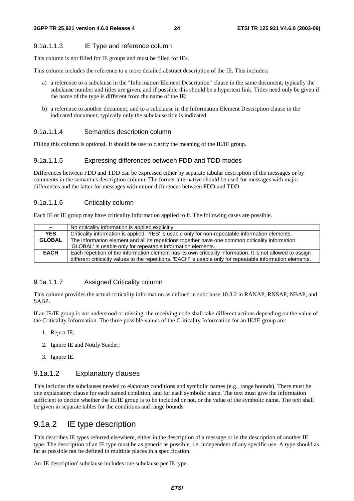#### 9.1a.1.1.3 IE Type and reference column

This column is not filled for IE groups and must be filled for IEs.

This column includes the reference to a more detailed abstract description of the IE. This includes:

- a) a reference to a subclause in the "Information Element Description" clause in the same document; typically the subclause number and titles are given, and if possible this should be a hypertext link. Titles need only be given if the name of the type is different from the name of the IE;
- b) a reference to another document, and to a subclause in the Information Element Description clause in the indicated document; typically only the subclause title is indicated.

#### 9.1a.1.1.4 Semantics description column

Filling this column is optional. It should be use to clarify the meaning of the IE/IE group.

#### 9.1a.1.1.5 Expressing differences between FDD and TDD modes

Differences between FDD and TDD can be expressed either by separate tabular description of the messages or by comments in the semantics description column. The former alternative should be used for messages with major differences and the latter for messages with minor differences between FDD and TDD.

#### 9.1a.1.1.6 Criticality column

Each IE or IE group may have criticality information applied to it. The following cases are possible.

| $\sim$        | No criticality information is applied explicitly.                                                           |
|---------------|-------------------------------------------------------------------------------------------------------------|
| <b>YES</b>    | Criticality information is applied. 'YES' is usable only for non-repeatable information elements.           |
| <b>GLOBAL</b> | The information element and all its repetitions together have one common criticality information.           |
|               | 'GLOBAL' is usable only for repeatable information elements.                                                |
| <b>EACH</b>   | Each repetition of the information element has its own criticality information. It is not allowed to assign |
|               | different criticality values to the repetitions. 'EACH' is usable only for repeatable information elements. |

#### 9.1a.1.1.7 Assigned Criticality column

This column provides the actual criticality information as defined in subclause 10.3.2 in RANAP, RNSAP, NBAP, and SABP.

If an IE/IE group is not understood or missing, the receiving node shall take different actions depending on the value of the Criticality Information. The three possible values of the Criticality Information for an IE/IE group are:

- 1. Reject IE;
- 2. Ignore IE and Notify Sender;
- 3. Ignore IE.

#### 9.1a.1.2 Explanatory clauses

This includes the subclauses needed to elaborate conditions and symbolic names (e.g., range bounds). There must be one explanatory clause for each named condition, and for each symbolic name. The text must give the information sufficient to decide whether the IE/IE group is to be included or not, or the value of the symbolic name. The text shall be given in separate tables for the conditions and range bounds.

### 9.1a.2 IE type description

This describes IE types referred elsewhere, either in the description of a message or in the description of another IE type. The description of an IE type must be as generic as possible, i.e. independent of any specific use. A type should as far as possible not be defined in multiple places in a specification.

An 'IE description' subclause includes one subclause per IE type.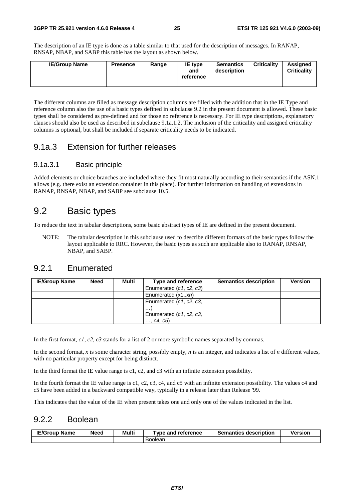The description of an IE type is done as a table similar to that used for the description of messages. In RANAP, RNSAP, NBAP, and SABP this table has the layout as shown below.

| <b>IE/Group Name</b> | <b>Presence</b> | Range | IE type<br>and<br>reference | <b>Semantics</b><br>description | <b>Criticality</b> | <b>Assigned</b><br><b>Criticality</b> |
|----------------------|-----------------|-------|-----------------------------|---------------------------------|--------------------|---------------------------------------|
|                      |                 |       |                             |                                 |                    |                                       |

The different columns are filled as message description columns are filled with the addition that in the IE Type and reference column also the use of a basic types defined in subclause 9.2 in the present document is allowed. These basic types shall be considered as pre-defined and for those no reference is necessary. For IE type descriptions, explanatory clauses should also be used as described in subclause 9.1a.1.2. The inclusion of the criticality and assigned criticality columns is optional, but shall be included if separate criticality needs to be indicated.

### 9.1a.3 Extension for further releases

#### 9.1a.3.1 Basic principle

Added elements or choice branches are included where they fit most naturally according to their semantics if the ASN.1 allows (e.g. there exist an extension container in this place). For further information on handling of extensions in RANAP, RNSAP, NBAP, and SABP see subclause 10.5.

## 9.2 Basic types

To reduce the text in tabular descriptions, some basic abstract types of IE are defined in the present document.

NOTE: The tabular description in this subclause used to describe different formats of the basic types follow the layout applicable to RRC. However, the basic types as such are applicable also to RANAP, RNSAP, NBAP, and SABP.

### 9.2.1 Enumerated

| <b>IE/Group Name</b> | <b>Need</b> | Multi | Type and reference      | <b>Semantics description</b> | <b>Version</b> |
|----------------------|-------------|-------|-------------------------|------------------------------|----------------|
|                      |             |       | Enumerated (c1, c2, c3) |                              |                |
|                      |             |       | Enumerated (x1xn)       |                              |                |
|                      |             |       | Enumerated (c1, c2, c3, |                              |                |
|                      |             |       | $\cdots$                |                              |                |
|                      |             |       | Enumerated (c1, c2, c3, |                              |                |
|                      |             |       | , c4, c5)               |                              |                |

In the first format, *c1*, *c2*, *c3* stands for a list of 2 or more symbolic names separated by commas.

In the second format, *x* is some character string, possibly empty, *n* is an integer, and indicates a list of *n* different values, with no particular property except for being distinct.

In the third format the IE value range is c1, c2, and c3 with an infinite extension possibility.

In the fourth format the IE value range is c1, c2, c3, c4, and c5 with an infinite extension possibility. The values c4 and c5 have been added in a backward compatible way, typically in a release later than Release '99.

This indicates that the value of the IE when present takes one and only one of the values indicated in the list.

### 9.2.2 Boolean

| <b>IE/Group Name</b> | Need | Multi | <b>Tvpe and reference</b> | <b>Semantics description</b> | <b>Version</b> |
|----------------------|------|-------|---------------------------|------------------------------|----------------|
|                      |      |       | Boolean                   |                              |                |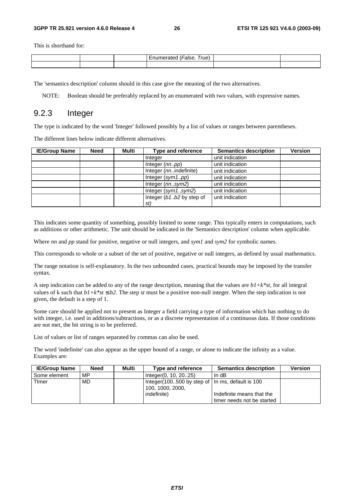This is shorthand for:

|  | –<br>rue. |  |
|--|-----------|--|
|  |           |  |

The 'semantics description' column should in this case give the meaning of the two alternatives.

NOTE: Boolean should be preferably replaced by an enumerated with two values, with expressive names.

### 9.2.3 Integer

The type is indicated by the word 'Integer' followed possibly by a list of values or ranges between parentheses.

The different lines below indicate different alternatives.

| <b>IE/Group Name</b> | <b>Need</b> | Multi | Type and reference       | <b>Semantics description</b> | <b>Version</b> |
|----------------------|-------------|-------|--------------------------|------------------------------|----------------|
|                      |             |       | Integer                  | unit indication              |                |
|                      |             |       | Integer (nnpp)           | unit indication              |                |
|                      |             |       | Integer (nnindefinite)   | unit indication              |                |
|                      |             |       | Integer $(sym1pp)$       | unit indication              |                |
|                      |             |       | Integer (nnsym2)         | unit indication              |                |
|                      |             |       | Integer $(sym1sym2)$     | unit indication              |                |
|                      |             |       | Integer (b1b2 by step of | unit indication              |                |
|                      |             |       | st)                      |                              |                |

This indicates some quantity of something, possibly limited to some range. This typically enters in computations, such as additions or other arithmetic. The unit should be indicated in the 'Semantics description' column when applicable.

Where *nn* and *pp* stand for positive, negative or null integers, and *sym1* and *sym2* for symbolic names.

This corresponds to whole or a subset of the set of positive, negative or null integers, as defined by usual mathematics.

The range notation is self-explanatory. In the two unbounded cases, practical bounds may be imposed by the transfer syntax.

A step indication can be added to any of the range description, meaning that the values are *b1+k\*st*, for all integral values of k such that  $b1+k*st \le b2$ . The step *st* must be a positive non-null integer. When the step indication is not given, the default is a step of 1.

Some care should be applied not to present as Integer a field carrying a type of information which has nothing to do with integer, i.e. used in additions/subtractions, or as a discrete representation of a continuous data. If those conditions are not met, the bit string is to be preferred.

List of values or list of ranges separated by commas can also be used.

The word 'indefinite' can also appear as the upper bound of a range, or alone to indicate the infinity as a value. Examples are:

| <b>IE/Group Name</b> | <b>Need</b> | Multi | Type and reference                                                     | <b>Semantics description</b> | <b>Version</b> |
|----------------------|-------------|-------|------------------------------------------------------------------------|------------------------------|----------------|
| l Some element       | MP          |       | Integer(0, 10, 2025)                                                   | In $dB$                      |                |
| <b>Timer</b>         | MD.         |       | Integer (100500 by step of   In ms, default is 100<br>100, 1000, 2000, |                              |                |
|                      |             |       | indefinite)                                                            | Indefinite means that the    |                |
|                      |             |       |                                                                        | timer needs not be started   |                |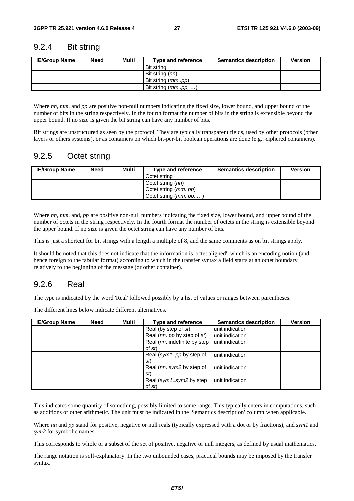### 9.2.4 Bit string

| <b>IE/Group Name</b> | <b>Need</b> | Multi | Type and reference         | <b>Semantics description</b> | <b>Version</b> |
|----------------------|-------------|-------|----------------------------|------------------------------|----------------|
|                      |             |       | Bit string                 |                              |                |
|                      |             |       | Bit string (nn)            |                              |                |
|                      |             |       | Bit string ( <i>mmpp</i> ) |                              |                |
|                      |             |       | Bit string (mmpp, )        |                              |                |

Where *nn*, *mm*, and *pp* are positive non-null numbers indicating the fixed size, lower bound, and upper bound of the number of bits in the string respectively. In the fourth format the number of bits in the string is extensible beyond the upper bound. If no size is given the bit string can have any number of bits.

Bit strings are unstructured as seen by the protocol. They are typically transparent fields, used by other protocols (other layers or others systems), or as containers on which bit-per-bit boolean operations are done (e.g.: ciphered containers).

## 9.2.5 Octet string

| <b>IE/Group Name</b> | Need | Multi | Type and reference           | <b>Semantics description</b> | <b>Version</b> |
|----------------------|------|-------|------------------------------|------------------------------|----------------|
|                      |      |       | Octet string                 |                              |                |
|                      |      |       | Octet string (nn)            |                              |                |
|                      |      |       | Octet string ( <i>mmpp</i> ) |                              |                |
|                      |      |       | Octet string $(mm. pp, )$    |                              |                |

Where *nn*, *mm*, and, *pp* are positive non-null numbers indicating the fixed size, lower bound, and upper bound of the number of octets in the string respectively. In the fourth format the number of octets in the string is extensible beyond the upper bound. If no size is given the octet string can have any number of bits.

This is just a shortcut for bit strings with a length a multiple of 8, and the same comments as on bit strings apply.

It should be noted that this does not indicate that the information is 'octet aligned', which is an encoding notion (and hence foreign to the tabular format) according to which in the transfer syntax a field starts at an octet boundary relatively to the beginning of the message (or other container).

## 9.2.6 Real

The type is indicated by the word 'Real' followed possibly by a list of values or ranges between parentheses.

The different lines below indicate different alternatives.

| <b>IE/Group Name</b> | <b>Need</b> | Multi | <b>Type and reference</b>            | <b>Semantics description</b> | Version |
|----------------------|-------------|-------|--------------------------------------|------------------------------|---------|
|                      |             |       | Real (by step of st)                 | unit indication              |         |
|                      |             |       | Real (nnpp by step of st)            | unit indication              |         |
|                      |             |       | Real (nnindefinite by step<br>of st) | unit indication              |         |
|                      |             |       | Real (sym1pp by step of<br>St)       | unit indication              |         |
|                      |             |       | Real (nnsym2 by step of<br>st        | unit indication              |         |
|                      |             |       | Real (sym1sym2 by step<br>of st)     | unit indication              |         |

This indicates some quantity of something, possibly limited to some range. This typically enters in computations, such as additions or other arithmetic. The unit must be indicated in the 'Semantics description' column when applicable.

Where *nn* and *pp* stand for positive, negative or null reals (typically expressed with a dot or by fractions), and *sym1* and *sym2* for symbolic names.

This corresponds to whole or a subset of the set of positive, negative or null integers, as defined by usual mathematics.

The range notation is self-explanatory. In the two unbounded cases, practical bounds may be imposed by the transfer syntax.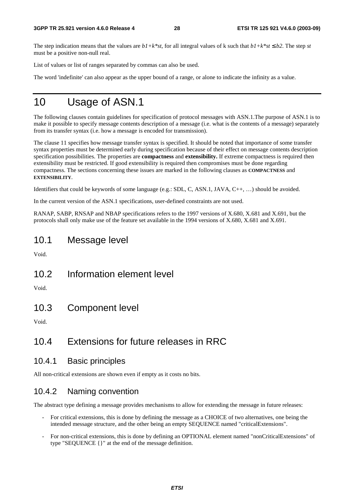The step indication means that the values are  $b1+k*st$ , for all integral values of k such that  $b1+k*st \leq b2$ . The step *st* must be a positive non-null real.

List of values or list of ranges separated by commas can also be used.

The word 'indefinite' can also appear as the upper bound of a range, or alone to indicate the infinity as a value.

## 10 Usage of ASN.1

The following clauses contain guidelines for specification of protocol messages with ASN.1.The purpose of ASN.1 is to make it possible to specify message contents description of a message (i.e. what is the contents of a message) separately from its transfer syntax (i.e. how a message is encoded for transmission).

The clause 11 specifies how message transfer syntax is specified. It should be noted that importance of some transfer syntax properties must be determined early during specification because of their effect on message contents description specification possibilities. The properties are **compactness** and **extensibility.** If extreme compactness is required then extensibility must be restricted. If good extensibility is required then compromises must be done regarding compactness. The sections concerning these issues are marked in the following clauses as **COMPACTNESS** and **EXTENSIBILITY**.

Identifiers that could be keywords of some language (e.g.: SDL, C, ASN.1, JAVA, C++, …) should be avoided.

In the current version of the ASN.1 specifications, user-defined constraints are not used.

RANAP, SABP, RNSAP and NBAP specifications refers to the 1997 versions of X.680, X.681 and X.691, but the protocols shall only make use of the feature set available in the 1994 versions of X.680, X.681 and X.691.

## 10.1 Message level

Void.

10.2 Information element level

Void.

10.3 Component level

Void.

## 10.4 Extensions for future releases in RRC

### 10.4.1 Basic principles

All non-critical extensions are shown even if empty as it costs no bits.

### 10.4.2 Naming convention

The abstract type defining a message provides mechanisms to allow for extending the message in future releases:

- For critical extensions, this is done by defining the message as a CHOICE of two alternatives, one being the intended message structure, and the other being an empty SEQUENCE named "criticalExtensions".
- For non-critical extensions, this is done by defining an OPTIONAL element named "nonCriticalExtensions" of type "SEQUENCE {}" at the end of the message definition.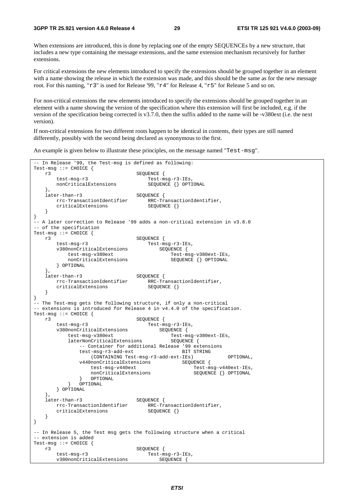When extensions are introduced, this is done by replacing one of the empty SEQUENCEs by a new structure, that includes a new type containing the message extensions, and the same extension mechanism recursively for further extensions.

For critical extensions the new elements introduced to specify the extensions should be grouped together in an element with a name showing the release in which the extension was made, and this should be the same as for the new message root. For this naming, "r3" is used for Release '99, "r4" for Release 4, "r5" for Release 5 and so on.

For non-critical extensions the new elements introduced to specify the extensions should be grouped together in an element with a name showing the version of the specification where this extension will first be included, e.g. if the version of the specification being corrected is v3.7.0, then the suffix added to the name will be -v380ext (i.e. the next version).

If non-critical extensions for two different roots happen to be identical in contents, their types are still named differently, possibly with the second being declared as synonymous to the first.

An example is given below to illustrate these principles, on the message named "Test-msg".

```
-- In Release '99, the Test-msg is defined as following: 
Test-msg ::= CHOICE \{r3SEQUENCE {
        test-msg-r3 Test-msg-r3-IEs, 
        nonCriticalExtensions SEQUENCE {} OPTIONAL 
 }, 
   later-than-r3 SEQUENCE {<br>rrc-TransactionIdentifier RRC-Tr
                               RRC-TransactionIdentifier,
       criticalExtensions SEQUENCE {}
    } 
} 
-- A later correction to Release '99 adds a non-critical extension in v3.8.0 
-- of the specification 
Test-msg ::= CHOICE { 
 r3 SEQUENCE { 
 test-msg-r3 Test-msg-r3-IEs, 
        v380nonCriticalExtensions SEQUENCE { 
          test-msg-v380ext Test-msg-v380ext-IEs,
          nonCriticalExtensions SEQUENCE {} OPTIONAL
        } OPTIONAL 
   },<br>later-than-r3
                               SEQUENCE {
        rrc-TransactionIdentifier RRC-TransactionIdentifier, 
       criticalExtensions SEQUENCE {}
    } 
} 
-- The Test-msg gets the following structure, if only a non-critical 
-- extensions is introduced for Release 4 in v4.4.0 of the specification. 
Test-msg ::= CHOICE { 
   r3<br>
test-msg-r3<br>
v<sup>280</sup>ronOritics1Fileson<br>
contract of the SEQUENCE {<br>
Test-msg-r3-IEs,
 test-msg-r3 Test-msg-r3-IEs, 
v380nonCriticalExtensions  SEQUENCE {
test-msg-v380ext Test-msg-v380ext-IEs,
laterNonCriticalExtensions   SEQUENCE {
 -- Container for additional Release '99 extensions 
              test-msg-r3-add-ext BIT STRING
                   (CONTAINING Test-msg-r3-add-ext-IEs) OPTIONAL, 
              v440nonCriticalExtensions SEQUENCE {
                  test-msg-v440ext Test-msg-v440ext-IEs, 
                 nonCriticalExtensions SEQUENCE { } OPTIONAL
          } OPTIONAL<br>} OPTIONAL
              OPTIONAL
        } OPTIONAL 
    }, 
   later-than-r3 SEQUENCE {<br>rrc-TransactionIdentifier RRC-Tr
                               RRC-TransactionIdentifier,<br>SEQUENCE {}
       criticalExtensions
    } 
} 
-- In Release 5, the Test msg gets the following structure when a critical 
-- extension is added 
Test-msg ::= CHOICE \{r3SEQUENCE {
        test-msg-r3 Test-msg-r3-IEs, 
        v380nonCriticalExtensions SEQUENCE {
```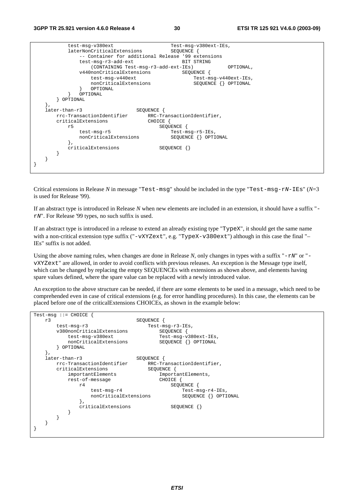| test-msg-v380ext<br>Test-msg-v380ext-IEs,<br>laterNonCriticalExtensions<br>SEQUENCE {<br>-- Container for additional Release '99 extensions<br>test-msq-r3-add-ext<br>BIT STRING<br>(CONTAINING Test-msg-r3-add-ext-IEs)<br>OPTIONAL,<br>v440nonCriticalExtensions<br>SEOUENCE<br>test-msg-v440ext<br>Test-msg-v440ext-IEs,<br>nonCriticalExtensions<br>SEQUENCE {} OPTIONAL<br>OPTIONAL<br>OPTIONAL<br>OPTIONAL<br>٠,<br>later-than-r3<br>SEOUENCE<br>rrc-TransactionIdentifier<br>RRC-TransactionIdentifier,<br>criticalExtensions<br>CHOICE<br>SEOUENCE<br>r5<br>test-msg-r5<br>Test-msq-r5-IEs,<br>nonCriticalExtensions<br>SEQUENCE {} OPTIONAL<br>$\}$ ,<br>criticalExtensions<br>$SEQUENCE$ $\{\}$ |  |
|-----------------------------------------------------------------------------------------------------------------------------------------------------------------------------------------------------------------------------------------------------------------------------------------------------------------------------------------------------------------------------------------------------------------------------------------------------------------------------------------------------------------------------------------------------------------------------------------------------------------------------------------------------------------------------------------------------------|--|
|                                                                                                                                                                                                                                                                                                                                                                                                                                                                                                                                                                                                                                                                                                           |  |
|                                                                                                                                                                                                                                                                                                                                                                                                                                                                                                                                                                                                                                                                                                           |  |
|                                                                                                                                                                                                                                                                                                                                                                                                                                                                                                                                                                                                                                                                                                           |  |
|                                                                                                                                                                                                                                                                                                                                                                                                                                                                                                                                                                                                                                                                                                           |  |
|                                                                                                                                                                                                                                                                                                                                                                                                                                                                                                                                                                                                                                                                                                           |  |
|                                                                                                                                                                                                                                                                                                                                                                                                                                                                                                                                                                                                                                                                                                           |  |
|                                                                                                                                                                                                                                                                                                                                                                                                                                                                                                                                                                                                                                                                                                           |  |
|                                                                                                                                                                                                                                                                                                                                                                                                                                                                                                                                                                                                                                                                                                           |  |
|                                                                                                                                                                                                                                                                                                                                                                                                                                                                                                                                                                                                                                                                                                           |  |
|                                                                                                                                                                                                                                                                                                                                                                                                                                                                                                                                                                                                                                                                                                           |  |
|                                                                                                                                                                                                                                                                                                                                                                                                                                                                                                                                                                                                                                                                                                           |  |
|                                                                                                                                                                                                                                                                                                                                                                                                                                                                                                                                                                                                                                                                                                           |  |
|                                                                                                                                                                                                                                                                                                                                                                                                                                                                                                                                                                                                                                                                                                           |  |
|                                                                                                                                                                                                                                                                                                                                                                                                                                                                                                                                                                                                                                                                                                           |  |
|                                                                                                                                                                                                                                                                                                                                                                                                                                                                                                                                                                                                                                                                                                           |  |
|                                                                                                                                                                                                                                                                                                                                                                                                                                                                                                                                                                                                                                                                                                           |  |
|                                                                                                                                                                                                                                                                                                                                                                                                                                                                                                                                                                                                                                                                                                           |  |
|                                                                                                                                                                                                                                                                                                                                                                                                                                                                                                                                                                                                                                                                                                           |  |
|                                                                                                                                                                                                                                                                                                                                                                                                                                                                                                                                                                                                                                                                                                           |  |
|                                                                                                                                                                                                                                                                                                                                                                                                                                                                                                                                                                                                                                                                                                           |  |
|                                                                                                                                                                                                                                                                                                                                                                                                                                                                                                                                                                                                                                                                                                           |  |
|                                                                                                                                                                                                                                                                                                                                                                                                                                                                                                                                                                                                                                                                                                           |  |
|                                                                                                                                                                                                                                                                                                                                                                                                                                                                                                                                                                                                                                                                                                           |  |
|                                                                                                                                                                                                                                                                                                                                                                                                                                                                                                                                                                                                                                                                                                           |  |
|                                                                                                                                                                                                                                                                                                                                                                                                                                                                                                                                                                                                                                                                                                           |  |
|                                                                                                                                                                                                                                                                                                                                                                                                                                                                                                                                                                                                                                                                                                           |  |

Critical extensions in Release *N* in message "Test-msg" should be included in the type "Test-msg-rN-IEs" (*N*=3 is used for Release '99).

If an abstract type is introduced in Release *N* when new elements are included in an extension, it should have a suffix " rN". For Release '99 types, no such suffix is used.

If an abstract type is introduced in a release to extend an already existing type "TypeX", it should get the same name with a non-critical extension type suffix ("-vXYZext", e.g. "TypeX-v380ext") although in this case the final "-IEs" suffix is not added.

Using the above naming rules, when changes are done in Release  $N$ , only changes in types with a suffix " $-rN$ " or "vXYZext" are allowed, in order to avoid conflicts with previous releases. An exception is the Message type itself, which can be changed by replacing the empty SEQUENCEs with extensions as shown above, and elements having spare values defined, where the spare value can be replaced with a newly introduced value.

An exception to the above structure can be needed, if there are some elements to be used in a message, which need to be comprehended even in case of critical extensions (e.g. for error handling procedures). In this case, the elements can be placed before one of the criticalExtensions CHOICEs, as shown in the example below:

```
Test-msg ::= CHOICE { 
    r3 SEQUENCE { 
       test-msg-r3 Test-msg-r3-IEs,<br>v380nonCriticalExtensions SEQUENCE {
       v380nonCriticalExtensions
            test-msg-v380ext Test-msg-v380ext-IEs, 
           nonCriticalExtensions
        } OPTIONAL 
    }, 
    later-than-r3 SEQUENCE { 
       rrc-TransactionIdentifier RRC-TransactionIdentifier,<br>criticalExtensions SEQUENCE {
       criticalExtensions<br>importantElements
                                          ImportantElements,<br>CHOICE {
           rest-of-message
                r4 SEQUENCE { 
                   test-msg-r4<br>
nonCriticalExtensions<br>
SEOUENCE {} OPTIONAL
                   nonCriticalExtensions
 }, 
               criticalExtensions SEQUENCE {}
            } 
        } 
    } 
}
```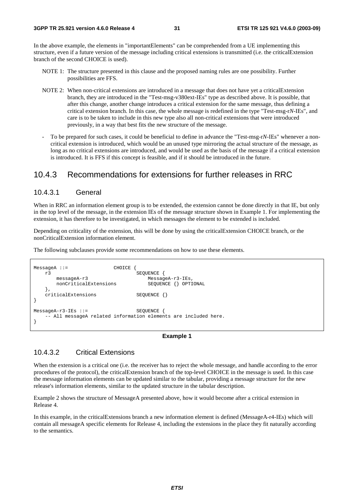In the above example, the elements in "importantElements" can be comprehended from a UE implementing this structure, even if a future version of the message including critical extensions is transmitted (i.e. the criticalExtension branch of the second CHOICE is used).

- NOTE 1: The structure presented in this clause and the proposed naming rules are one possibility. Further possibilities are FFS.
- NOTE 2: When non-critical extensions are introduced in a message that does not have yet a criticalExtension branch, they are introduced in the "Test-msg-v380ext-IEs" type as described above. It is possible, that after this change, another change introduces a critical extension for the same message, thus defining a critical extension branch. In this case, the whole message is redefined in the type "Test-msg-r*N*-IEs", and care is to be taken to include in this new type also all non-critical extensions that were introduced previously, in a way that best fits the new structure of the message.
- To be prepared for such cases, it could be beneficial to define in advance the "Test-msg-r*N*-IEs" whenever a noncritical extension is introduced, which would be an unused type mirroring the actual structure of the message, as long as no critical extensions are introduced, and would be used as the basis of the message if a critical extension is introduced. It is FFS if this concept is feasible, and if it should be introduced in the future.

### 10.4.3 Recommendations for extensions for further releases in RRC

#### 10.4.3.1 General

When in RRC an information element group is to be extended, the extension cannot be done directly in that IE, but only in the top level of the message, in the extension IEs of the message structure shown in Example 1. For implementing the extension, it has therefore to be investigated, in which messages the element to be extended is included.

Depending on criticality of the extension, this will be done by using the criticalExtension CHOICE branch, or the nonCriticalExtension information element.

The following subclauses provide some recommendations on how to use these elements.

```
MessageA ::= CHOICE {
   r3 <br>messageA-r3 <br>MessageA-r3 <br>Message
                                       MessageA-r3-IEs,<br>SEOUENCE {} OPTIONAL
       nonCriticalExtensions
    }, 
    criticalExtensions SEQUENCE {} 
} 
MessageA-r3-IEs ::= SEQUENCE {
     -- All messageA related information elements are included here. 
}
```
#### **Example 1**

### 10.4.3.2 Critical Extensions

When the extension is a critical one (i.e. the receiver has to reject the whole message, and handle according to the error procedures of the protocol), the criticalExtension branch of the top-level CHOICE in the message is used. In this case the message information elements can be updated similar to the tabular, providing a message structure for the new release's information elements, similar to the updated structure in the tabular description.

Example 2 shows the structure of MessageA presented above, how it would become after a critical extension in Release 4.

In this example, in the criticalExtensions branch a new information element is defined (MessageA-r4-IEs) which will contain all messageA specific elements for Release 4, including the extensions in the place they fit naturally according to the semantics.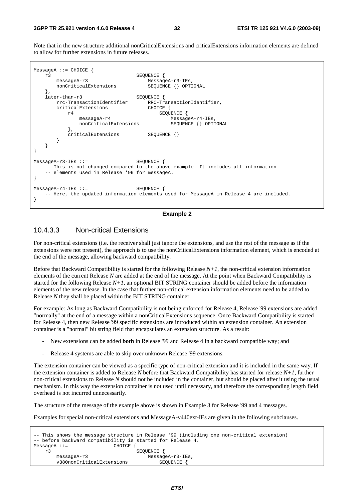Note that in the new structure additional nonCriticalExtensions and criticalExtensions information elements are defined to allow for further extensions in future releases.



#### **Example 2**

#### 10.4.3.3 Non-critical Extensions

For non-critical extensions (i.e. the receiver shall just ignore the extensions, and use the rest of the message as if the extensions were not present), the approach is to use the nonCriticalExtensions information element, which is encoded at the end of the message, allowing backward compatibility.

Before that Backward Compatibility is started for the following Release *N+1*, the non-critical extension information elements of the current Release *N* are added at the end of the message. At the point when Backward Compatibility is started for the following Release *N+1*, an optional BIT STRING container should be added before the information elements of the new release. In the case that further non-critical extension information elements need to be added to Release *N* they shall be placed within the BIT STRING container.

For example: As long as Backward Compatibility is not being enforced for Release 4, Release '99 extensions are added "normally" at the end of a message within a nonCriticalExtensions sequence. Once Backward Compatibility is started for Release 4, then new Release '99 specific extensions are introduced within an extension container. An extension container is a "normal" bit string field that encapsulates an extension structure. As a result:

- New extensions can be added **both** in Release '99 and Release 4 in a backward compatible way; and
- Release 4 systems are able to skip over unknown Release '99 extensions.

The extension container can be viewed as a specific type of non-critical extension and it is included in the same way. If the extension container is added to Release *N* before that Backward Compatibility has started for release *N+1*, further non-critical extensions to Release *N* should not be included in the container, but should be placed after it using the usual mechanism. In this way the extension container is not used until necessary, and therefore the corresponding length field overhead is not incurred unnecessarily.

The structure of the message of the example above is shown in Example 3 for Release '99 and 4 messages.

Examples for special non-critical extensions and MessageA-v440ext-IEs are given in the following subclauses.

```
-- This shows the message structure in Release '99 (including one non-critical extension) 
-- before backward compatibility is started for Release 4. 
MessageA :: = r3 SEQUENCE { 
      messageA-r3 MessageA-r3-IEs,
       v380nonCriticalExtensions SEQUENCE {
```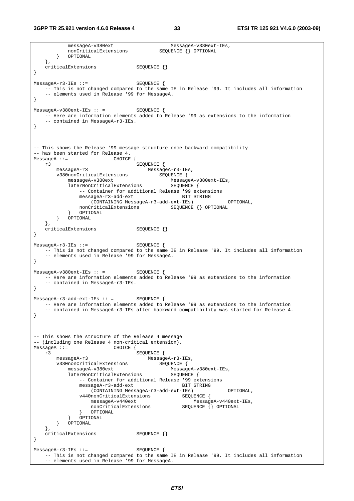messageA-v380ext MessageA-v380ext-IEs, nonCriticalExtensions SEQUENCE {} OPTIONAL } OPTIONAL }, criticalExtensions SEQUENCE {} } MessageA-r3-IEs ::= SEOUENCE { -- This is not changed compared to the same IE in Release '99. It includes all information -- elements used in Release '99 for MessageA. } MessageA-v380ext-IEs :: = SEQUENCE { -- Here are information elements added to Release '99 as extensions to the information -- contained in MessageA-r3-IEs. } -- This shows the Release '99 message structure once backward compatibility -- has been started for Release 4. MessageA ::= CHOICE {<br>r3 SEQUENCE { r3 SEQUENCE { messageA-r3 MessageA-r3-IEs, v380nonCriticalExtensions SEQUENCE { messageA-v380ext MessageA-v380ext-IEs, laterNonCriticalExtensions SEQUENCE { -- Container for additional Release '99 extensions messageA-r3-add-ext BIT STRING (CONTAINING MessageA-r3-add-ext-IEs) OPTIONAL, nonCriticalExtensions SEQUENCE {} OPTIONAL 0PTIONAL } OPTIONAL } OPTIONAL }, criticalExtensions SEQUENCE {} } MessageA-r3-IEs ::= SEQUENCE { -- This is not changed compared to the same IE in Release '99. It includes all information -- elements used in Release '99 for MessageA. }  $MessageA-v380ext-IES :: =$  SEQUENCE { -- Here are information elements added to Release '99 as extensions to the information -- contained in MessageA-r3-IEs. }  $MessageA-r3-add-ext-IES :: =$  SEQUENCE { -- Here are information elements added to Release '99 as extensions to the information -- contained in MessageA-r3-IEs after backward compatibility was started for Release 4. } -- This shows the structure of the Release 4 message -- (including one Release 4 non-critical extension).<br>MessageA ::= CHOICE { CHOICE { r3 SEQUENCE { messageA-r3 MessageA-r3-IEs, v380nonCriticalExtensions<br>messageA-v380ext messageA-v380ext MessageA-v380ext-IEs, laterNonCriticalExtensions -- Container for additional Release '99 extensions messageA-r3-add-ext BIT STRING (CONTAINING MessageA-r3-add-ext-IEs) OPTIONAL, v440nonCriticalExtensions SEQUENCE { messageA-v440ext MessageA-v440ext-IEs, nonCriticalExtensions } OPTIONAL } OPTIONAL } OPTIONAL  $\}$ , criticalExtensions SEQUENCE {} } MessageA-r3-IEs ::= SEQUENCE { -- This is not changed compared to the same IE in Release '99. It includes all information - elements used in Release '99 for MessageA.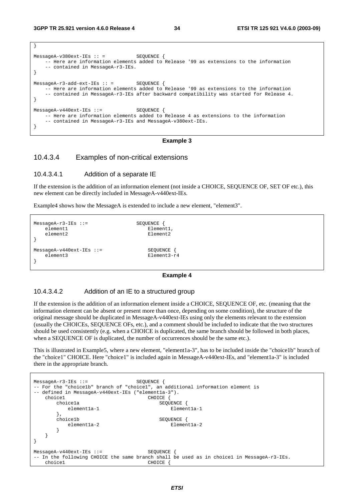}

| $MessageA-v380ext-IEs :: =$<br>SEQUENCE<br>-- Here are information elements added to Release '99 as extensions to the information<br>-- contained in MessageA-r3-IEs.                                                          |  |
|--------------------------------------------------------------------------------------------------------------------------------------------------------------------------------------------------------------------------------|--|
| $MessageA-r3-add-ext-IES :: =$ SEOUENCE {<br>-- Here are information elements added to Release '99 as extensions to the information<br>-- contained in MessageA-r3-IEs after backward compatibility was started for Release 4. |  |
| $MessageA-v440ext-IEs :: =$ SEQUENCE<br>-- Here are information elements added to Release 4 as extensions to the information<br>-- contained in MessageA-r3-IEs and MessageA-v380ext-IEs.                                      |  |

#### **Example 3**

#### 10.4.3.4 Examples of non-critical extensions

#### 10.4.3.4.1 Addition of a separate IE

If the extension is the addition of an information element (not inside a CHOICE, SEQUENCE OF, SET OF etc.), this new element can be directly included in MessageA-v440ext-IEs.

Example4 shows how the MessageA is extended to include a new element, "element3".

```
MessageA-r3-IEs ::= SEQUENCE { 
  element1 Element1, Element2 Element2
  element2
} 
MessageA-v440ext-IEs ::= SEQUENCE {
   element3 Element3-r4 
}
```
#### **Example 4**

#### 10.4.3.4.2 Addition of an IE to a structured group

If the extension is the addition of an information element inside a CHOICE, SEQUENCE OF, etc. (meaning that the information element can be absent or present more than once, depending on some condition), the structure of the original message should be duplicated in MessageA-v440ext-IEs using only the elements relevant to the extension (usually the CHOICEs, SEQUENCE OFs, etc.), and a comment should be included to indicate that the two structures should be used consistently (e.g. when a CHOICE is duplicated, the same branch should be followed in both places, when a SEQUENCE OF is duplicated, the number of occurrences should be the same etc.).

This is illustrated in Example5, where a new element, "element1a-3", has to be included inside the "choice1b" branch of the "choice1" CHOICE. Here "choice1" is included again in MessageA-v440ext-IEs, and "element1a-3" is included there in the appropriate branch.

```
MessageA-r3-IEs ::= SEQUENCE { 
-- For the "choice1b" branch of "choice1", an additional information element is 
-- defined in MessageA-v440ext-IEs ("elementla-3").
   choice1 CHOICE
       choice1a SEQUENCE { 
        element1a-1 Element1a-1
      },<br>choicelb
                                SEQUENCE {
        element1a-2 Element1a-2
 } 
    } 
} 
MessageA-v440ext-IEs ::= SEQUENCE
 In the following CHOICE the same branch shall be used as in choice1 in MessageA-r3-IEs.
   choice1 CHOICE {
```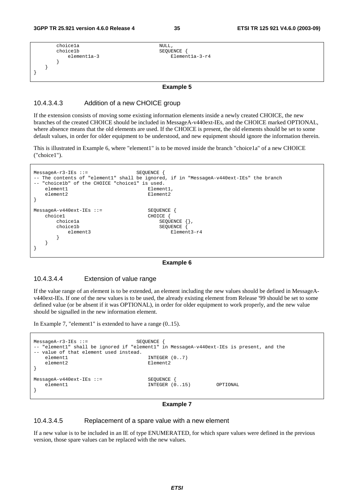```
 choice1a NULL, 
    choice1b <br>element1a-3 <br>Elemen
    element1a-3 Element1a-3-r4
 } 
   } 
}
```
#### **Example 5**

#### 10.4.3.4.3 Addition of a new CHOICE group

If the extension consists of moving some existing information elements inside a newly created CHOICE, the new branches of the created CHOICE should be included in MessageA-v440ext-IEs, and the CHOICE marked OPTIONAL, where absence means that the old elements are used. If the CHOICE is present, the old elements should be set to some default values, in order for older equipment to be understood, and new equipment should ignore the information therein.

This is illustrated in Example 6, where "element1" is to be moved inside the branch "choice1a" of a new CHOICE ("choice1").

```
MessageA-r3-IEs ::= SEQUENCE { 
-- The contents of "element1" shall be ignored, if in "MessageA-v440ext-IEs" the branch 
  "choice1b" of the CHOICE "choice1" is used.
  element1 Element1,
  element2 Element2
} 
MessageA-v440ext-IEs ::= SEQUENCE {
  choice1 CHOICE {
     choice1a <br>choice1b <br>SEQUENCE {
        ce1b SEQUENCE {<br>element3 Elemer
     element3 Element3-r4
 } 
   } 
}
```
#### **Example 6**

#### 10.4.3.4.4 Extension of value range

If the value range of an element is to be extended, an element including the new values should be defined in MessageAv440ext-IEs. If one of the new values is to be used, the already existing element from Release '99 should be set to some defined value (or be absent if it was OPTIONAL), in order for older equipment to work properly, and the new value should be signalled in the new information element.

In Example 7, "element1" is extended to have a range (0..15).



#### **Example 7**

#### 10.4.3.4.5 Replacement of a spare value with a new element

If a new value is to be included in an IE of type ENUMERATED, for which spare values were defined in the previous version, those spare values can be replaced with the new values.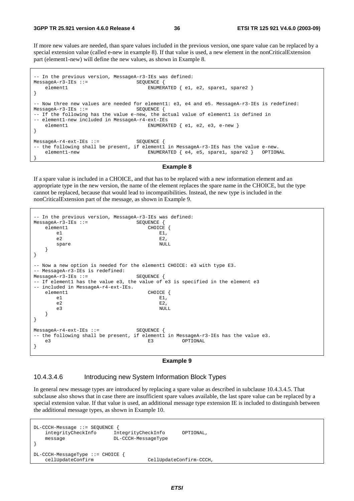If more new values are needed, than spare values included in the previous version, one spare value can be replaced by a special extension value (called e-new in example 8). If that value is used, a new element in the nonCriticalExtension part (element1-new) will define the new values, as shown in Example 8.

```
-- In the previous version, MessageA-r3-IEs was defined: 
MessageA-r3-IES ::= SEQUENCE {
   element1 ENUMERATED { e1, e2, spare1, spare2 }
} 
-- Now three new values are needed for element1: e3, e4 and e5. MessageA-r3-IEs is redefined: 
MessageA-r3-IEs ::= SEQUENCE { 
-- If the following has the value e-new, the actual value of element1 is defined in 
-- element1-new included in MessageA-r4-ext-IEs 
   element1 ENUMERATED { e1, e2, e3, e-new }
} 
MessageA-r4-ext-IEs ::= SEQUENCE { 
-- the following shall be present, if elementl in MessageA-r3-IEs has the value e-new.
    element1-new ENUMERATED { e4, e5, spare1, spare2 } OPTIONAL 
}
```
#### **Example 8**

If a spare value is included in a CHOICE, and that has to be replaced with a new information element and an appropriate type in the new version, the name of the element replaces the spare name in the CHOICE, but the type cannot be replaced, because that would lead to incompatibilities. Instead, the new type is included in the nonCriticalExtension part of the message, as shown in Example 9.

```
-- In the previous version, MessageA-r3-IEs was defined: 
MessageA-r3-IEs ::= SEQUENCE { 
  element1 CHOICE {
e1 E1,
e2 E2,
     spare NULL
   } 
} 
-- Now a new option is needed for the element1 CHOICE: e3 with type E3. 
-- MessageA-r3-IEs is redefined: 
MessageA-r3-IEs ::= SEQUENCE { 
-- If elementl has the value e3, the value of e3 is specified in the element e3
-- included in MessageA-r4-ext-IEs. 
  element1 CHOICE {<br>e1 E1,
e1 E1,
e^2 E2,
 e3 NULL 
   } 
} 
MessageA-r4-ext-IEs ::= SEQUENCE { 
-- the following shall be present, if elementl in MessageA-r3-IEs has the value e3.<br>
E3 OPTIONAL
   e3 E3 OPTIONAL 
}
```
#### **Example 9**

#### 10.4.3.4.6 Introducing new System Information Block Types

In general new message types are introduced by replacing a spare value as described in subclause 10.4.3.4.5. That subclause also shows that in case there are insufficient spare values available, the last spare value can be replaced by a special extension value. If that value is used, an additional message type extension IE is included to distinguish between the additional message types, as shown in Example 10.

DL-CCCH-Message ::= SEQUENCE { integrityCheckInfo IntegrityCheckInfo OPTIONAL, message DL-CCCH-MessageType } DL-CCCH-MessageType ::= CHOICE { cellUpdateConfirm CellUpdateConfirm-CCCH,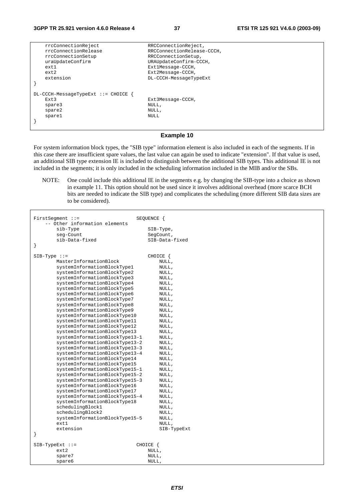| rrcConnectionReject                  | RRCConnectionReject,       |
|--------------------------------------|----------------------------|
| rrcConnectionRelease                 | RRCConnectionRelease-CCCH, |
| rrcConnectionSetup                   | RRCConnectionSetup,        |
| uraUpdateConfirm                     | URAUpdateConfirm-CCCH,     |
| ext1                                 | Ext1Message-CCCH,          |
| ext2                                 | Ext2Message-CCCH,          |
| extension                            | DL-CCCH-MessageTypeExt     |
|                                      |                            |
|                                      |                            |
| $DL-CCCH-MessaqeTypeExt ::=CHOICE$ { |                            |
| Ext3                                 | Ext3Message-CCCH,          |
| spare3                               | NULL,                      |
| spare2                               | NULL,                      |
| sparel                               | NULL.                      |
|                                      |                            |
|                                      |                            |

#### **Example 10**

For system information block types, the "SIB type" information element is also included in each of the segments. If in this case there are insufficient spare values, the last value can again be used to indicate "extension". If that value is used, an additional SIB type extension IE is included to distinguish between the additional SIB types. This additional IE is not included in the segments; it is only included in the scheduling information included in the MIB and/or the SBs.

NOTE: One could include this additional IE in the segments e.g. by changing the SIB-type into a choice as shown in example 11. This option should not be used since it involves additional overhead (more scarce BCH bits are needed to indicate the SIB type) and complicates the scheduling (more different SIB data sizes are to be considered).

| $FirstSegment :: =$            | SEQUENCE {     |
|--------------------------------|----------------|
| -- Other information elements  |                |
| sib-Type                       | SIB-Type,      |
| seg-Count                      | SeqCount,      |
| sib-Data-fixed                 | SIB-Data-fixed |
| $\}$                           |                |
|                                |                |
| $SIB-Type :: =$                | CHOICE {       |
| MasterInformationBlock         | NULL,          |
| systemInformationBlockType1    | NULL,          |
| systemInformationBlockType2    | NULL,          |
| systemInformationBlockType3    | NULL,          |
| systemInformationBlockType4    | NULL,          |
| systemInformationBlockType5    | NULL,          |
| systemInformationBlockType6    | NULL,          |
| systemInformationBlockType7    | NULL,          |
| systemInformationBlockType8    | NULL,          |
| systemInformationBlockType9    | NULL,          |
| systemInformationBlockType10   | NULL,          |
| systemInformationBlockType11   | NULL,          |
| systemInformationBlockType12   | NULL,          |
| systemInformationBlockType13   | NULL,          |
| systemInformationBlockType13-1 | NULL,          |
| systemInformationBlockType13-2 | NULL,          |
| systemInformationBlockType13-3 | NULL,          |
| systemInformationBlockType13-4 | NULL,          |
| systemInformationBlockType14   | NULL,          |
| systemInformationBlockType15   | NULL,          |
| systemInformationBlockType15-1 | NULL,          |
| systemInformationBlockType15-2 | NULL,          |
| systemInformationBlockType15-3 | NULL,          |
| systemInformationBlockType16   | NULL,          |
| systemInformationBlockType17   | NULL,          |
| systemInformationBlockType15-4 | NULL,          |
| systemInformationBlockType18   | NULL,          |
| schedulingBlock1               | NULL,          |
| schedulingBlock2               | NULL,          |
| systemInformationBlockType15-5 | NULL,          |
| ext1                           | NULL,          |
| extension                      | SIB-TypeExt    |
| }                              |                |
|                                |                |
| $SIB-TypeExt ::=$              | CHOICE {       |
| ext2                           | NULL,          |
| spare7                         | NULL,          |
| spare6                         | NULL,          |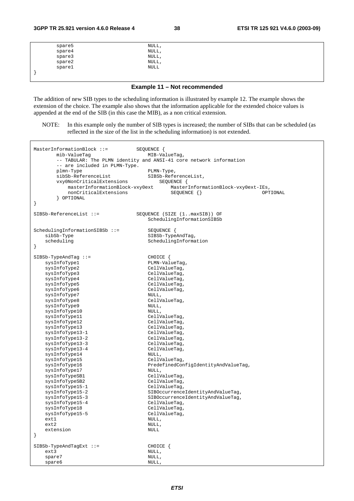| spare5 | NULL,           |  |
|--------|-----------------|--|
| spare4 | NULL,           |  |
| spare3 | NULL,           |  |
| space2 | NULL,           |  |
| spare1 | $\texttt{NULL}$ |  |
|        |                 |  |

**Example 11 – Not recommended** 

The addition of new SIB types to the scheduling information is illustrated by example 12. The example shows the extension of the choice. The example also shows that the information applicable for the extended choice values is appended at the end of the SIB (in this case the MIB), as a non critical extension.

NOTE: In this example only the number of SIB types is increased; the number of SIBs that can be scheduled (as reflected in the size of the list in the scheduling information) is not extended.

| $MasterInformationBlock :: =$<br>mib-ValueTag<br>-- are included in PLMN-Type.<br>plmn-Type<br>sibSb-ReferenceList<br>vxy0NonCriticalExtensions<br>masterInformationBlock-vxy0ext<br>nonCriticalExtensions<br>OPTIONAL<br>$\}$                                                                                                                                                                                                                                                                                                                                                       | SEQUENCE {<br>MIB-ValueTag,<br>-- TABULAR: The PLMN identity and ANSI-41 core network information<br>PLMN-Type,<br>SIBSb-ReferenceList,<br>SEQUENCE {<br>MasterInformationBlock-vxy0ext-IEs,<br>$SEQUENCE$ $\{\}$<br>OPTIONAL                                                                                                                                                                                                                                                                                                                                           |
|--------------------------------------------------------------------------------------------------------------------------------------------------------------------------------------------------------------------------------------------------------------------------------------------------------------------------------------------------------------------------------------------------------------------------------------------------------------------------------------------------------------------------------------------------------------------------------------|-------------------------------------------------------------------------------------------------------------------------------------------------------------------------------------------------------------------------------------------------------------------------------------------------------------------------------------------------------------------------------------------------------------------------------------------------------------------------------------------------------------------------------------------------------------------------|
| $SIBSb-ReferenceList ::=$                                                                                                                                                                                                                                                                                                                                                                                                                                                                                                                                                            | SEQUENCE (SIZE (1maxSIB)) OF<br>SchedulingInformationSIBSb                                                                                                                                                                                                                                                                                                                                                                                                                                                                                                              |
| SchedulingInformationSIBSb ::=<br>sibSb-Type<br>scheduling<br>$\}$                                                                                                                                                                                                                                                                                                                                                                                                                                                                                                                   | SEQUENCE {<br>SIBSb-TypeAndTag,<br>SchedulingInformation                                                                                                                                                                                                                                                                                                                                                                                                                                                                                                                |
| $SIBSb-TypeAndTag :: =$<br>sysInfoType1<br>sysInfoType2<br>sysInfoType3<br>sysInfoType4<br>sysInfoType5<br>sysInfoType6<br>sysInfoType7<br>sysInfoType8<br>sysInfoType9<br>sysInfoType10<br>sysInfoType11<br>sysInfoType12<br>sysInfoType13<br>sysInfoType13-1<br>sysInfoType13-2<br>sysInfoType13-3<br>sysInfoType13-4<br>sysInfoType14<br>sysInfoType15<br>sysInfoType16<br>sysInfoType17<br>sysInfoTypeSB1<br>sysInfoTypeSB2<br>sysInfoType15-1<br>sysInfoType15-2<br>sysInfoType15-3<br>sysInfoType15-4<br>sysInfoType18<br>sysInfoType15-5<br>ext1<br>ext2<br>extension<br>$\}$ | CHOICE {<br>PLMN-ValueTag,<br>CellValueTag,<br>CellValueTag,<br>CellValueTag,<br>CellValueTag,<br>CellValueTag,<br>NULL,<br>CellValueTag,<br>NULL,<br>NULL,<br>CellValueTag,<br>CellValueTag,<br>CellValueTag,<br>CellValueTag,<br>CellValueTag,<br>CellValueTag,<br>CellValueTag,<br>NULL,<br>CellValueTag,<br>PredefinedConfigIdentityAndValueTag,<br>NULL,<br>CellValueTag,<br>CellValueTag,<br>CellValueTag,<br>SIBOccurrenceIdentityAndValueTag,<br>SIBOccurrenceIdentityAndValueTag,<br>CellValueTag,<br>CellValueTag,<br>CellValueTag,<br>NULL,<br>NULL,<br>NULL |
| $SIBSb-TypeAndTagExt ::=$<br>ext3<br>spare7<br>spare6                                                                                                                                                                                                                                                                                                                                                                                                                                                                                                                                | CHOICE {<br>NULL,<br>NULL,<br>NULL,                                                                                                                                                                                                                                                                                                                                                                                                                                                                                                                                     |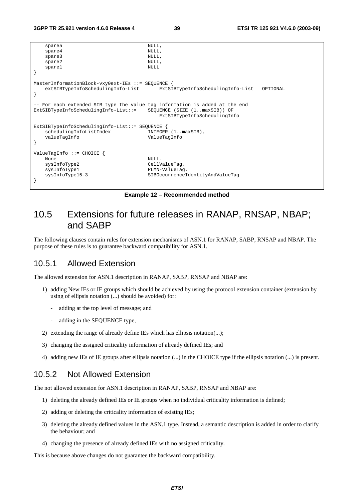```
\begin{minipage}{.4cm} \texttt{spare5} \end{minipage}spare4
   spare3 NULL,
   spare2 NULL,
   spare1 NULL
} 
MasterInformationBlock-vxy0ext-IEs ::= SEQUENCE { 
    extSIBTypeInfoSchedulingInfo-List ExtSIBTypeInfoSchedulingInfo-List OPTIONAL 
} 
 - For each extended SIB type the value tag information is added at the end
ExtSIBTypeInfoSchedulingInfo-List::= SEQUENCE (SIZE (1..maxSIB)) OF 
                                     ExtSIBTypeInfoSchedulingInfo 
ExtSIBTypeInfoSchedulingInfo-List::= SEQUENCE { 
   schedulingInfoListIndex INTEGER (1..maxSIB),<br>valueTagInfo ValueTagInfo
                                 valueTagInfo ValueTagInfo 
} 
ValueTagInfo ::= CHOICE { 
None NULL.
   sysInfoType2 CellValueTag,
   sysInfoType1 PLMN-ValueTag
    sysInfoType15-3 SIBOccurrenceIdentityAndValueTag 
}
```
**Example 12 – Recommended method** 

## 10.5 Extensions for future releases in RANAP, RNSAP, NBAP; and SABP

The following clauses contain rules for extension mechanisms of ASN.1 for RANAP, SABP, RNSAP and NBAP. The purpose of these rules is to guarantee backward compatibility for ASN.1.

### 10.5.1 Allowed Extension

The allowed extension for ASN.1 description in RANAP, SABP, RNSAP and NBAP are:

- 1) adding New IEs or IE groups which should be achieved by using the protocol extension container (extension by using of ellipsis notation (...) should be avoided) for:
	- adding at the top level of message; and
	- adding in the SEQUENCE type,
- 2) extending the range of already define IEs which has ellipsis notation(...);
- 3) changing the assigned criticality information of already defined IEs; and
- 4) adding new IEs of IE groups after ellipsis notation (...) in the CHOICE type if the ellipsis notation (...) is present.

### 10.5.2 Not Allowed Extension

The not allowed extension for ASN.1 description in RANAP, SABP, RNSAP and NBAP are:

- 1) deleting the already defined IEs or IE groups when no individual criticality information is defined;
- 2) adding or deleting the criticality information of existing IEs;
- 3) deleting the already defined values in the ASN.1 type. Instead, a semantic description is added in order to clarify the behaviour; and
- 4) changing the presence of already defined IEs with no assigned criticality.

This is because above changes do not guarantee the backward compatibility.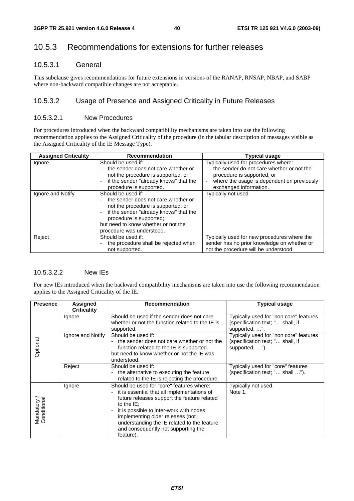## 10.5.3 Recommendations for extensions for further releases

### 10.5.3.1 General

This subclause gives recommendations for future extensions in versions of the RANAP, RNSAP, NBAP, and SABP where non-backward compatible changes are not acceptable.

### 10.5.3.2 Usage of Presence and Assigned Criticality in Future Releases

#### 10.5.3.2.1 New Procedures

For procedures introduced when the backward compatibility mechanisms are taken into use the following recommendation applies to the Assigned Criticality of the procedure (in the tabular description of messages visible as the Assigned Criticality of the IE Message Type).

| <b>Assigned Criticality</b> | <b>Recommendation</b>                                                                                                                                                                                                                    | <b>Typical usage</b>                                                                                                                                                                    |  |  |
|-----------------------------|------------------------------------------------------------------------------------------------------------------------------------------------------------------------------------------------------------------------------------------|-----------------------------------------------------------------------------------------------------------------------------------------------------------------------------------------|--|--|
| Ignore                      | Should be used if:<br>the sender does not care whether or<br>not the procedure is supported; or<br>if the sender "already knows" that the<br>procedure is supported.                                                                     | Typically used for procedures where:<br>the sender do not care whether or not the<br>procedure is supported; or<br>where the usage is dependent on previously<br>exchanged information. |  |  |
| Ignore and Notify           | Should be used if:<br>the sender does not care whether or<br>not the procedure is supported; or<br>if the sender "already knows" that the<br>procedure is supported;<br>but need to know whether or not the<br>procedure was understood. | Typically not used.                                                                                                                                                                     |  |  |
| Reject                      | Should be used if:<br>the procedure shall be rejected when<br>not supported.                                                                                                                                                             | Typically used for new procedures where the<br>sender has no prior knowledge on whether or<br>not the procedure will be understood.                                                     |  |  |

### 10.5.3.2.2 New IEs

For new IEs introduced when the backward compatibility mechanisms are taken into use the following recommendation applies to the Assigned Criticality of the IE.

| <b>Presence</b>            | <b>Assigned</b><br><b>Criticality</b> | <b>Recommendation</b>                                                                                                                                                                                                                                                                                                                      | <b>Typical usage</b>                                                                         |
|----------------------------|---------------------------------------|--------------------------------------------------------------------------------------------------------------------------------------------------------------------------------------------------------------------------------------------------------------------------------------------------------------------------------------------|----------------------------------------------------------------------------------------------|
| Optional                   | Ignore                                | Should be used if the sender does not care<br>whether or not the function related to the IE is<br>supported.                                                                                                                                                                                                                               | Typically used for "non core" features<br>(specification text; " shall, if<br>supported, ".  |
|                            | Ignore and Notify                     | Should be used if:<br>the sender does not care whether or not the<br>function related to the IE is supported.<br>but need to know whether or not the IE was<br>understood.                                                                                                                                                                 | Typically used for "non core" features<br>(specification text; " shall, if<br>supported, "). |
|                            | Reject                                | Should be used if:<br>the alternative to executing the feature<br>related to the IE is rejecting the procedure.                                                                                                                                                                                                                            | Typically used for "core" features<br>(specification text; " shall ").                       |
| Mandatory /<br>Conditional | Ignore                                | Should be used for "core" features where:<br>it is essential that all implementations of<br>future releases support the feature related<br>to the $IE$ :<br>it is possible to inter-work with nodes<br>implementing older releases (not<br>understanding the IE related to the feature<br>and consequently not supporting the<br>feature). | Typically not used.<br>Note 1.                                                               |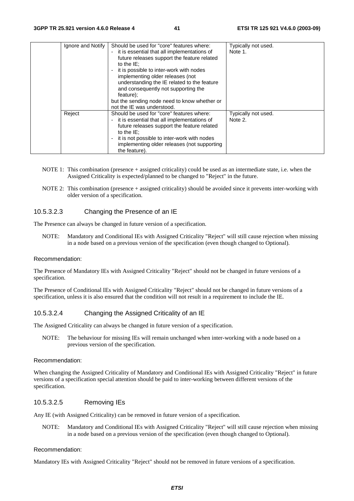|  | Ignore and Notify | Should be used for "core" features where:<br>- it is essential that all implementations of<br>future releases support the feature related<br>to the $IE$ :<br>it is possible to inter-work with nodes<br>implementing older releases (not<br>understanding the IE related to the feature<br>and consequently not supporting the<br>feature);<br>but the sending node need to know whether or<br>not the IE was understood. | Typically not used.<br>Note 1. |
|--|-------------------|----------------------------------------------------------------------------------------------------------------------------------------------------------------------------------------------------------------------------------------------------------------------------------------------------------------------------------------------------------------------------------------------------------------------------|--------------------------------|
|  | Reject            | Should be used for "core" features where:<br>- it is essential that all implementations of<br>future releases support the feature related<br>to the $IE$ :<br>it is not possible to inter-work with nodes<br>implementing older releases (not supporting<br>the feature).                                                                                                                                                  | Typically not used.<br>Note 2. |

- NOTE 1: This combination (presence + assigned criticality) could be used as an intermediate state, i.e. when the Assigned Criticality is expected/planned to be changed to "Reject" in the future.
- NOTE 2: This combination (presence + assigned criticality) should be avoided since it prevents inter-working with older version of a specification.

#### 10.5.3.2.3 Changing the Presence of an IE

The Presence can always be changed in future version of a specification.

NOTE: Mandatory and Conditional IEs with Assigned Criticality "Reject" will still cause rejection when missing in a node based on a previous version of the specification (even though changed to Optional).

#### Recommendation:

The Presence of Mandatory IEs with Assigned Criticality "Reject" should not be changed in future versions of a specification.

The Presence of Conditional IEs with Assigned Criticality "Reject" should not be changed in future versions of a specification, unless it is also ensured that the condition will not result in a requirement to include the IE.

#### 10.5.3.2.4 Changing the Assigned Criticality of an IE

The Assigned Criticality can always be changed in future version of a specification.

NOTE: The behaviour for missing IEs will remain unchanged when inter-working with a node based on a previous version of the specification.

#### Recommendation:

When changing the Assigned Criticality of Mandatory and Conditional IEs with Assigned Criticality "Reject" in future versions of a specification special attention should be paid to inter-working between different versions of the specification.

#### 10.5.3.2.5 Removing IEs

Any IE (with Assigned Criticality) can be removed in future version of a specification.

NOTE: Mandatory and Conditional IEs with Assigned Criticality "Reject" will still cause rejection when missing in a node based on a previous version of the specification (even though changed to Optional).

#### Recommendation:

Mandatory IEs with Assigned Criticality "Reject" should not be removed in future versions of a specification.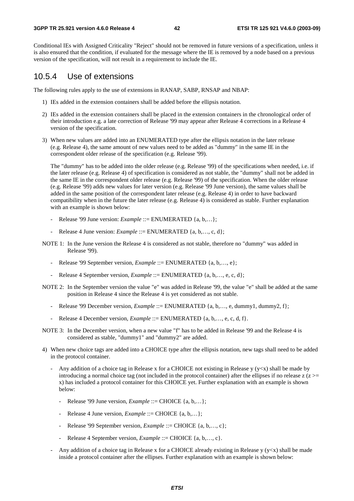#### **3GPP TR 25.921 version 4.6.0 Release 4 42 ETSI TR 125 921 V4.6.0 (2003-09)**

Conditional IEs with Assigned Criticality "Reject" should not be removed in future versions of a specification, unless it is also ensured that the condition, if evaluated for the message where the IE is removed by a node based on a previous version of the specification, will not result in a requirement to include the IE.

## 10.5.4 Use of extensions

The following rules apply to the use of extensions in RANAP, SABP, RNSAP and NBAP:

- 1) IEs added in the extension containers shall be added before the ellipsis notation.
- 2) IEs added in the extension containers shall be placed in the extension containers in the chronological order of their introduction e.g. a late correction of Release '99 may appear after Release 4 corrections in a Release 4 version of the specification.
- 3) When new values are added into an ENUMERATED type after the ellipsis notation in the later release (e.g. Release 4), the same amount of new values need to be added as "dummy" in the same IE in the correspondent older release of the specification (e.g. Release '99).

 The "dummy" has to be added into the older release (e.g. Release '99) of the specifications when needed, i.e. if the later release (e.g. Release 4) of specification is considered as not stable, the "dummy" shall not be added in the same IE in the correspondent older release (e.g. Release '99) of the specification. When the older release (e.g. Release '99) adds new values for later version (e.g. Release '99 June version), the same values shall be added in the same position of the correspondent later release (e.g. Release 4) in order to have backward compatibility when in the future the later release (e.g. Release 4) is considered as stable. Further explanation with an example is shown below:

- Release '99 June version: *Example* ::= ENUMERATED {a, b,...};
- Release 4 June version: *Example* ::= ENUMERATED {a, b,..., c, d};
- NOTE 1: In the June version the Release 4 is considered as not stable, therefore no "dummy" was added in Release '99).
	- Release '99 September version, *Example* ::= ENUMERATED {a, b,…, e};
	- Release 4 September version, *Example* ::= ENUMERATED {a, b,..., e, c, d};
- NOTE 2: In the September version the value "e" was added in Release '99, the value "e" shall be added at the same position in Release 4 since the Release 4 is yet considered as not stable.
	- Release '99 December version, *Example* ::= ENUMERATED {a, b,..., e, dummy1, dummy2, f};
	- Release 4 December version, *Example* ::= ENUMERATED {a, b,…, e, c, d, f}.
- NOTE 3: In the December version, when a new value "f" has to be added in Release '99 and the Release 4 is considered as stable, "dummy1" and "dummy2" are added.
- 4) When new choice tags are added into a CHOICE type after the ellipsis notation, new tags shall need to be added in the protocol container.
	- Any addition of a choice tag in Release x for a CHOICE not existing in Release y ( $y \lt x$ ) shall be made by introducing a normal choice tag (not included in the protocol container) after the ellipses if no release  $z(z)$ x) has included a protocol container for this CHOICE yet. Further explanation with an example is shown below:
		- Release '99 June version, *Example* ::= CHOICE {a, b,...};
		- Release 4 June version, *Example* ::= CHOICE {a, b,...};
		- Release '99 September version, *Example* ::= CHOICE {a, b,..., c};
		- Release 4 September version, *Example* ::= CHOICE {a, b,…, c}.
	- Any addition of a choice tag in Release x for a CHOICE already existing in Release  $y (y < x)$  shall be made inside a protocol container after the ellipses. Further explanation with an example is shown below: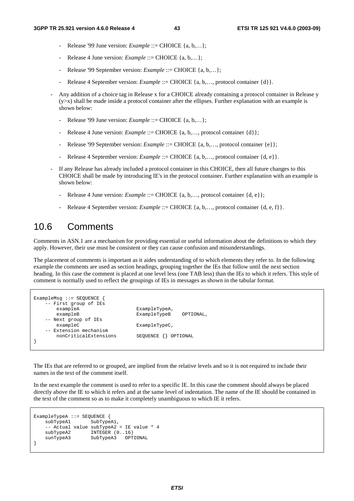- Release '99 June version: *Example* ::= CHOICE {a, b,...};
- Release 4 June version: *Example* ::= CHOICE {a, b,...};
- Release '99 September version: *Example* ::= CHOICE {a, b,...};
- Release 4 September version: *Example* ::= CHOICE {a, b,..., protocol container {d}}.
- Any addition of a choice tag in Release x for a CHOICE already containing a protocol container in Release y  $(y>x)$  shall be made inside a protocol container after the ellipses. Further explanation with an example is shown below:
	- Release '99 June version: *Example* ::= CHOICE {a, b,...};
	- Release 4 June version: *Example* ::= CHOICE {a, b,..., protocol container {d}};
	- Release '99 September version: *Example* ::= CHOICE {a, b,..., protocol container {e}};
	- Release 4 September version: *Example* ::= CHOICE {a, b,..., protocol container {d, e}.
- If any Release has already included a protocol container in this CHOICE, then all future changes to this CHOICE shall be made by introducing IE's in the protocol container. Further explanation with an example is shown below:
	- Release 4 June version: *Example* ::= CHOICE {a, b,..., protocol container {d, e}};
	- Release 4 September version: *Example* ::= CHOICE {a, b,..., protocol container {d, e, f}}.

## 10.6 Comments

Comments in ASN.1 are a mechanism for providing essential or useful information about the definitions to which they apply. However, their use must be consistent or they can cause confusion and misunderstandings.

The placement of comments is important as it aides understanding of to which elements they refer to. In the following example the comments are used as section headings, grouping together the IEs that follow until the next section heading. In this case the comment is placed at one level less (one TAB less) than the IEs to which it refers. This style of comment is normally used to reflect the groupings of IEs in messages as shown in the tabular format.

```
ExampleMsg ::= SEQUENCE { 
     - First group of IEs<br>exampleA
                                    ExampleTypeA,
       exampleB ExampleTypeB OPTIONAL,
     -- Next group of IEs 
       exampleC ExampleTypeC,
    -- Extension mechanism<br>nonCriticalExtensions
                                    SEQUENCE {} OPTIONAL
}
```
The IEs that are referred to or grouped, are implied from the relative levels and so it is not required to include their names in the text of the comment itself.

In the next example the comment is used to refer to a specific IE. In this case the comment should always be placed directly above the IE to which it refers and at the same level of indentation. The name of the IE should be contained in the text of the comment so as to make it completely unambiguous to which IE it refers.

```
ExampleTypeA ::= SEQUENCE { 
    subTypeA1 SubTypeA1,
    -- Actual value subTypeA2 = IE value * 4<br>subTypeA2 INTEGER (0..16)INTER (0..16) sunTypeA3 SubTypeA3 OPTIONAL 
}
```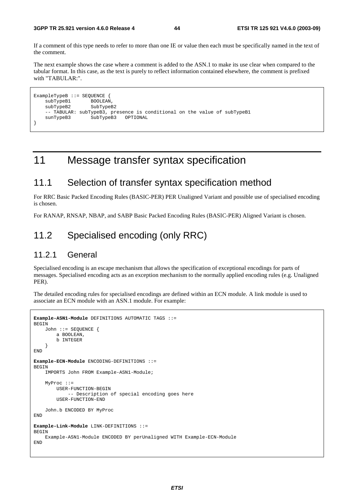#### **3GPP TR 25.921 version 4.6.0 Release 4 44 ETSI TR 125 921 V4.6.0 (2003-09)**

If a comment of this type needs to refer to more than one IE or value then each must be specifically named in the text of the comment.

The next example shows the case where a comment is added to the ASN.1 to make its use clear when compared to the tabular format. In this case, as the text is purely to reflect information contained elsewhere, the comment is prefixed with "TABULAR:".

```
ExampleTypeB ::= SEQUENCE {<br>subTypeB1 BOOLEAN,
    subTypeB1 BOOLEAN,<br>subTypeB2 SubTypeB2
    subTypeB2
      -- TABULAR: subTypeB3, presence is conditional on the value of subTypeB1 
     sunTypeB3 SubTypeB3 OPTIONAL 
}
```
## 11 Message transfer syntax specification

## 11.1 Selection of transfer syntax specification method

For RRC Basic Packed Encoding Rules (BASIC-PER) PER Unaligned Variant and possible use of specialised encoding is chosen.

For RANAP, RNSAP, NBAP, and SABP Basic Packed Encoding Rules (BASIC-PER) Aligned Variant is chosen.

## 11.2 Specialised encoding (only RRC)

### 11.2.1 General

Specialised encoding is an escape mechanism that allows the specification of exceptional encodings for parts of messages. Specialised encoding acts as an exception mechanism to the normally applied encoding rules (e.g. Unaligned PER).

The detailed encoding rules for specialised encodings are defined within an ECN module. A link module is used to associate an ECN module with an ASN.1 module. For example:

```
Example-ASN1-Module DEFINITIONS AUTOMATIC TAGS ::= 
BEGIN 
     John ::= SEQUENCE { 
         a BOOLEAN, 
         b INTEGER 
     } 
END 
Example-ECN-Module ENCODING-DEFINITIONS ::= 
BEGIN 
     IMPORTS John FROM Example-ASN1-Module; 
     MyProc ::= 
         USER-FUNCTION-BEGIN 
               -- Description of special encoding goes here 
         USER-FUNCTION-END 
     John.b ENCODED BY MyProc 
END 
Example-Link-Module LINK-DEFINITIONS ::= 
BEGIN 
     Example-ASN1-Module ENCODED BY perUnaligned WITH Example-ECN-Module 
END
```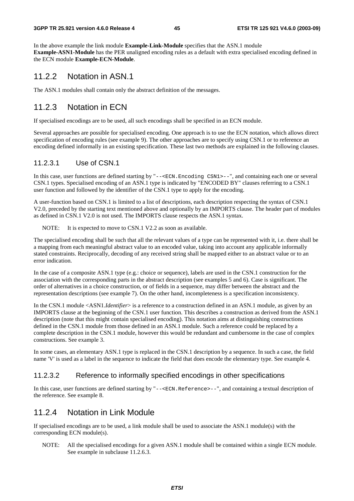#### **3GPP TR 25.921 version 4.6.0 Release 4 45 ETSI TR 125 921 V4.6.0 (2003-09)**

In the above example the link module **Example-Link-Module** specifies that the ASN.1 module **Example-ASN1-Module** has the PER unaligned encoding rules as a default with extra specialised encoding defined in the ECN module **Example-ECN-Module**.

### 11.2.2 Notation in ASN.1

The ASN.1 modules shall contain only the abstract definition of the messages.

## 11.2.3 Notation in ECN

If specialised encodings are to be used, all such encodings shall be specified in an ECN module.

Several approaches are possible for specialised encoding. One approach is to use the ECN notation, which allows direct specification of encoding rules (see example 9). The other approaches are to specify using CSN.1 or to reference an encoding defined informally in an existing specification. These last two methods are explained in the following clauses.

### 11.2.3.1 Use of CSN.1

In this case, user functions are defined starting by "--<ECN.Encoding CSN1>--", and containing each one or several CSN.1 types. Specialised encoding of an ASN.1 type is indicated by "ENCODED BY" clauses referring to a CSN.1 user function and followed by the identifier of the CSN.1 type to apply for the encoding.

A user-function based on CSN.1 is limited to a list of descriptions, each description respecting the syntax of CSN.1 V2.0, preceded by the starting text mentioned above and optionally by an IMPORTS clause. The header part of modules as defined in CSN.1 V2.0 is not used. The IMPORTS clause respects the ASN.1 syntax.

NOTE: It is expected to move to CSN.1 V2.2 as soon as available.

The specialised encoding shall be such that all the relevant values of a type can be represented with it, i.e. there shall be a mapping from each meaningful abstract value to an encoded value, taking into account any applicable informally stated constraints. Reciprocally, decoding of any received string shall be mapped either to an abstract value or to an error indication.

In the case of a composite ASN.1 type (e.g.: choice or sequence), labels are used in the CSN.1 construction for the association with the corresponding parts in the abstract description (see examples 5 and 6). Case is significant. The order of alternatives in a choice construction, or of fields in a sequence, may differ between the abstract and the representation descriptions (see example 7). On the other hand, incompleteness is a specification inconsistency.

In the CSN.1 module <ASN1.*Identifier*> is a reference to a construction defined in an ASN.1 module, as given by an IMPORTS clause at the beginning of the CSN.1 user function. This describes a construction as derived from the ASN.1 description (note that this might contain specialised encoding). This notation aims at distinguishing constructions defined in the CSN.1 module from those defined in an ASN.1 module. Such a reference could be replaced by a complete description in the CSN.1 module, however this would be redundant and cumbersome in the case of complex constructions. See example 3.

In some cases, an elementary ASN.1 type is replaced in the CSN.1 description by a sequence. In such a case, the field name 'V' is used as a label in the sequence to indicate the field that does encode the elementary type. See example 4.

### 11.2.3.2 Reference to informally specified encodings in other specifications

In this case, user functions are defined starting by "--<ECN.Reference>--", and containing a textual description of the reference. See example 8.

## 11.2.4 Notation in Link Module

If specialised encodings are to be used, a link module shall be used to associate the ASN.1 module(s) with the corresponding ECN module(s).

NOTE: All the specialised encodings for a given ASN.1 module shall be contained within a single ECN module. See example in subclause 11.2.6.3.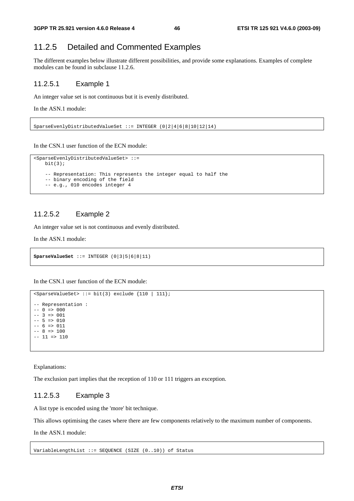## 11.2.5 Detailed and Commented Examples

The different examples below illustrate different possibilities, and provide some explanations. Examples of complete modules can be found in subclause 11.2.6.

#### 11.2.5.1 Example 1

An integer value set is not continuous but it is evenly distributed.

In the ASN.1 module:

SparseEvenlyDistributedValueSet ::= INTEGER (0|2|4|6|8|10|12|14)

In the CSN.1 user function of the ECN module:

```
<SparseEvenlyDistributedValueSet> ::= 
   bit(3); -- Representation: This represents the integer equal to half the 
    -- binary encoding of the field 
    -- e.g., 010 encodes integer 4
```
### 11.2.5.2 Example 2

An integer value set is not continuous and evenly distributed.

In the ASN.1 module:

```
SparseValueSet ::= INTEGER (0|3|5|6|8|11)
```
In the CSN.1 user function of the ECN module:

```
sSparseValueSet> ::= bit(3) exclude {110 | 111};
-- Representation : 
-- 0 => 000-- 3 => 001-- 5 => 010-- 6 => 011- - 8 = 100-- 11 => 110
```
Explanations:

The exclusion part implies that the reception of 110 or 111 triggers an exception.

#### 11.2.5.3 Example 3

A list type is encoded using the 'more' bit technique.

This allows optimising the cases where there are few components relatively to the maximum number of components.

In the ASN.1 module:

VariableLengthList ::= SEQUENCE (SIZE (0..10)) of Status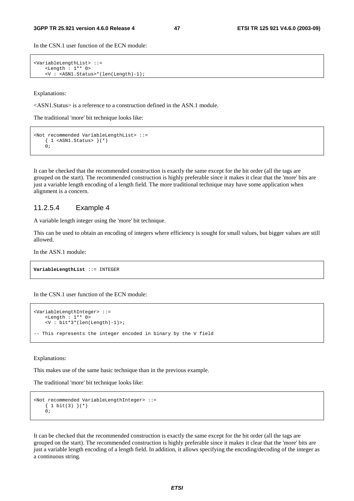In the CSN.1 user function of the ECN module:

```
<VariableLengthList> ::= 
    <Length : 1** 0> 
    <V : <ASN1.Status>*(len(Length)-1);
```
Explanations:

<ASN1.Status> is a reference to a construction defined in the ASN.1 module.

The traditional 'more' bit technique looks like:

```
<Not recommended VariableLengthList> ::= 
     { 1 <ASN1.Status> }(*) 
    \bigcap:
```
It can be checked that the recommended construction is exactly the same except for the bit order (all the tags are grouped on the start). The recommended construction is highly preferable since it makes it clear that the 'more' bits are just a variable length encoding of a length field. The more traditional technique may have some application when alignment is a concern.

#### 11.2.5.4 Example 4

A variable length integer using the 'more' bit technique.

This can be used to obtain an encoding of integers where efficiency is sought for small values, but bigger values are still allowed.

In the ASN.1 module:

```
VariableLengthList ::= INTEGER
```
In the CSN.1 user function of the ECN module:

```
<VariableLengthInteger> ::= 
     <Length : 1** 0> 
     <V : bit*3*(len(Length)-1)>; 
-- This represents the integer encoded in binary by the V field
```
Explanations:

This makes use of the same basic technique than in the previous example.

The traditional 'more' bit technique looks like:

```
<Not recommended VariableLengthInteger> ::= 
     { 1 bit(3) }(*) 
    \overline{0};
```
It can be checked that the recommended construction is exactly the same except for the bit order (all the tags are grouped on the start). The recommended construction is highly preferable since it makes it clear that the 'more' bits are just a variable length encoding of a length field. In addition, it allows specifying the encoding/decoding of the integer as a continuous string.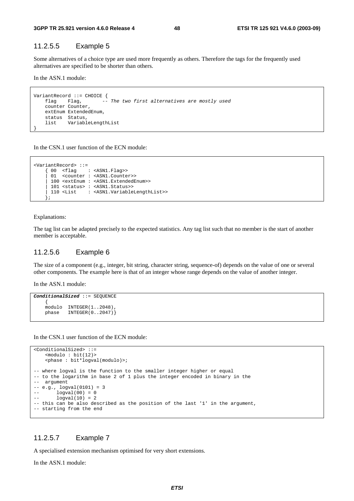#### 11.2.5.5 Example 5

Some alternatives of a choice type are used more frequently as others. Therefore the tags for the frequently used alternatives are specified to be shorter than others.

In the ASN.1 module:

```
VariantRecord ::= CHOICE { 
    flag Flag, -- The two first alternatives are mostly used
     counter Counter, 
     extEnum ExtendedEnum, 
     status Status, 
     list VariableLengthList 
}
```
In the CSN.1 user function of the ECN module:

```
<VariantRecord> ::= 
 { 00 <flag : <ASN1.Flag>> 
 | 01 <counter : <ASN1.Counter>> 
      | 100 <extEnum : <ASN1.ExtendedEnum>> 
      | 101 <status> : <ASN1.Status>> 
      | 110 <List : <ASN1.VariableLengthList>> 
      };
```
#### Explanations:

The tag list can be adapted precisely to the expected statistics. Any tag list such that no member is the start of another member is acceptable.

#### 11.2.5.6 Example 6

The size of a component (e.g., integer, bit string, character string, sequence-of) depends on the value of one or several other components. The example here is that of an integer whose range depends on the value of another integer.

In the ASN.1 module:

```
ConditionalSized ::= SEQUENCE 
 { 
   modulo INTEGER(1..2048)
    phase INTEGER(0..2047)}
```
In the CSN.1 user function of the ECN module:

```
<ConditionalSized> ::= 
    <modulo : bit(12)> 
    <phase : bit*logval(modulo)>; 
-- where logval is the function to the smaller integer higher or equal 
-- to the logarithm in base 2 of 1 plus the integer encoded in binary in the 
-- argument 
-- e.g., logval(0101) = 3 
-- logval(00) = 0-- logval(10) = 2-- this can be also described as the position of the last '1' in the argument, 
-- starting from the end
```
#### 11.2.5.7 Example 7

A specialised extension mechanism optimised for very short extensions.

In the ASN.1 module: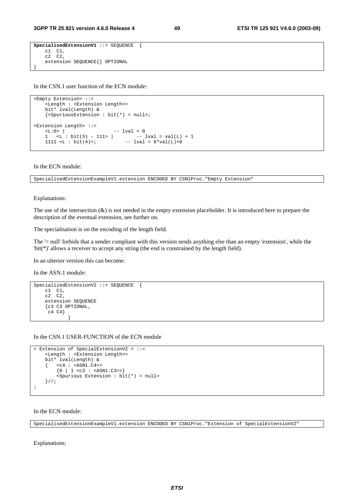```
SpecialisedExtensionV1 ::= SEQUENCE {
 c1 C1, 
 c2 C2, 
    extension SEQUENCE{} OPTIONAL 
}
```
In the CSN.1 user function of the ECN module:

```
<Empty Extension> ::= 
     <Length : <Extension Length>> 
     bit* lval(Length) & 
    \{\leq {\tt SpuriousExtension} : \; {\tt bit(*)} = {\tt null>} \}<Extension Length> ::= 
\langle L:0 \rangle | \qquad \qquad -- \quad 1 val = 01 \langle L : \text{bit}(3) - 111 \rangle -- lval = val(L) + 1
    1111 <L : bit(4)>; -- lval = 8*val(L)+8
```
In the ECN module:

SpecialisedExtensionExampleV1.extension ENCODED BY CSN1Proc."Empty Extension"

#### Explanations:

The use of the intersection  $(x)$  is not needed in the empty extension placeholder. It is introduced here to prepare the description of the eventual extension, see further on.

The specialisation is on the encoding of the length field.

The '= null' forbids that a sender compliant with this version sends anything else than an empty 'extension', while the 'bit(\*)' allows a receiver to accept any string (the end is constrained by the length field).

In an ulterior version this can become:

In the ASN 1 module:

```
SpecializedExtensionV2 ::= SEQUENCE { 
      c1 C1, 
     c2 \overline{c2},
      extension SEQUENCE 
      {c3 C3 OPTIONAL, 
      \begin{bmatrix} c4 & c4 \end{bmatrix} }
```
In the CSN.1 USER-FUNCTION of the ECN module

```
< Extension of SpecialExtensionV2 > ::= 
     <Length : <Extension Length>> 
     bit* lval(Length) & 
     { <c4 : <ASN1.C4>> 
         \{0 \mid 1 \leq c3 : \text{SNN1.C3>>}\} <Spurious Extension : bit(*) = null> 
     }//; 
;
```
In the ECN module:

SpecialisedExtensionExampleV1.extension ENCODED BY CSN1Proc."Extension of SpecialExtensionV2"

Explanations: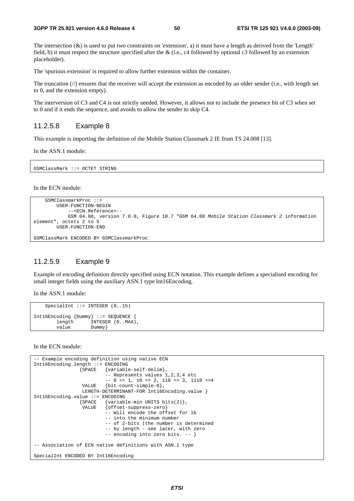The intersection  $(x)$  is used to put two constraints on 'extension', a) it must have a length as derived from the 'Length' field, b) it must respect the structure specified after the & (i.e., c4 followed by optional c3 followed by an extension placeholder).

The 'spurious extension' is required to allow further extension within the container.

The truncation  $(\frac{1}{\sqrt{2}})$  ensures that the receiver will accept the extension as encoded by an older sender (i.e., with length set to 0, and the extension empty).

The interversion of C3 and C4 is not strictly needed. However, it allows not to include the presence bit of C3 when set to 0 and if it ends the sequence, and avoids to allow the sender to skip C4.

#### 11.2.5.8 Example 8

This example is importing the definition of the Mobile Station Classmark 2 IE from TS 24.008 [13].

In the ASN.1 module:

GSMClassMark ::= OCTET STRING

In the ECN module:

```
 GSMClassmarkProc ::= 
         USER-FUNCTION-BEGIN 
              --<ECN.Reference>-- 
             GSM 04.08, version 7.0.0, Figure 10.7 "GSM 04.08 Mobile Station Classmark 2 information 
element", octets 2 to 5 
         USER-FUNCTION-END 
GSMClassMark ENCODED BY GSMClassmarkProc
```
#### 11.2.5.9 Example 9

Example of encoding definition directly specified using ECN notation. This example defines a specialised encoding for small integer fields using the auxiliary ASN.1 type Int16Encoding.

In the ASN.1 module:

```
SpecialInt ::= INTEGER (0..15)
Int16Encoding {Dummy} ::= SEQUENCE {<br>length INTEGER (0..MAX)
                        INTEGER (0..MAX),value Dummy
```
In the ECN module:

```
-- Example encoding definition using native ECN 
Int16Encoding.length ::= ENCODING 
                   {SPACE {variable-self-delim}, 
                             -- Represents values 1,2,3,4 etc 
                            -- 0 => 1, 10 => 2, 110 => 3, 1110 =>4
                    VALUE {bit-count-simple-0}, 
                   LENGTH-DETERMINANT-FOR Int16Encoding.value }
Int16Encoding.value ::= ENCODING<br>{SPACE {variab}
                   SPACE {variable-min UNITS bits(2)},<br>VALUE {offset-suppress-zero}
                            \{offset-suppress-zero\} -- Will encode the offset for lb 
                             -- into the minimum number 
                             -- of 2-bits (the number is determined 
                             -- by length - see later, with zero 
                             -- encoding into zero bits. -- } 
-- Association of ECN native definitions with ASN.1 type 
SpecialInt ENCODED BY Int16Encoding
```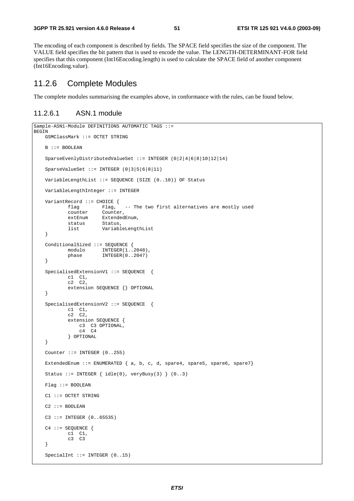The encoding of each component is described by fields. The SPACE field specifies the size of the component. The VALUE field specifies the bit pattern that is used to encode the value. The LENGTH-DETERMINANT-FOR field specifies that this component (Int16Encoding.length) is used to calculate the SPACE field of another component (Int16Encoding.value).

### 11.2.6 Complete Modules

The complete modules summarising the examples above, in conformance with the rules, can be found below.

### 11.2.6.1 ASN.1 module

```
Sample-ASN1-Module DEFINITIONS AUTOMATIC TAGS ::= 
BEGIN
    GSMClassMark ::= OCTET STRING 
    B ::= BOOLEAN 
    SparseEvenlyDistributedValueSet ::= INTEGER (0|2|4|6|8|10|12|14) 
    SparseValueSet ::= INTEGER (0|3|5|6|8|11) 
    VariableLengthList ::= SEQUENCE (SIZE (0..10)) OF Status 
    VariableLengthInteger ::= INTEGER 
    VariantRecord ::= CHOICE { 
            flag Flag, -- The two first alternatives are mostly used 
            counter Counter, 
            extEnum ExtendedEnum,<br>status Status,
                       Status,
            list VariableLengthList 
    } 
    ConditionalSized ::= SEQUENCE { 
modulo INTEGER(1..2048),
phase INTEGER(0..2047)
    } 
   SpecialisedExtensionV1 ::= SEQUENCE {
 c1 C1, 
c2 \quad c2, extension SEQUENCE {} OPTIONAL 
    } 
   SpecialisedExtensionV2 ::= SEQUENCE {
            c1 C1, 
            c2 \quad c2 extension SEQUENCE { 
                c3 C3 OPTIONAL, 
                C4 C4 } OPTIONAL 
    } 
   Counter ::= INTEGER (0..255)ExtendedEnum := ENUMERATED \{ a, b, c, d, space4, space4, space5, space6, space7\}Status ::= INTEGER \{ idle(0), veryBusy(3) \} (0..3)
    Flag ::= BOOLEAN 
    C1 ::= OCTET STRING 
   C2 :: = BOOLEAN C3 ::= INTEGER (0..65535) 
   C4 :: = SEOUENCEc1 c1,
             c3 C3 
    } 
   SpecialInt ::= INTEGER (0..15)
```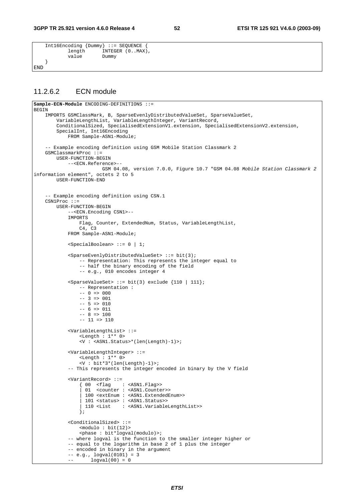```
 Int16Encoding {Dummy} ::= SEQUENCE { 
              length INTEGER (0..MAX),<br>value Dummv
                            Dummy
     }
END
```
#### 11.2.6.2 ECN module

```
Sample-ECN-Module ENCODING-DEFINITIONS ::= 
BEGIN 
     IMPORTS GSMClassMark, B, SparseEvenlyDistributedValueSet, SparseValueSet, 
         VariableLengthList, VariableLengthInteger, VariantRecord, 
        ConditionalSized, SpecialisedExtensionV1.extension, SpecialisedExtensionV2.extension,
         SpecialInt, Int16Encoding 
             FROM Sample-ASN1-Module; 
     -- Example encoding definition using GSM Mobile Station Classmark 2 
    GSMClassmarkProc ::= 
         USER-FUNCTION-BEGIN 
             --<ECN.Reference>-- 
                         GSM 04.08, version 7.0.0, Figure 10.7 "GSM 04.08 Mobile Station Classmark 2
information element", octets 2 to 5 
         USER-FUNCTION-END 
     -- Example encoding definition using CSN.1 
    CSN1Proc ::= 
         USER-FUNCTION-BEGIN 
             --<ECN.Encoding CSN1>-- 
             IMPORTS 
                 Flag, Counter, ExtendedNum, Status, VariableLengthList, 
                 C4, C3 
             FROM Sample-ASN1-Module; 
             <SpecialBoolean> ::= 0 | 1; 
             <SparseEvenlyDistributedValueSet> ::= bit(3); 
                 -- Representation: This represents the integer equal to 
                 -- half the binary encoding of the field 
                 -- e.g., 010 encodes integer 4 
            sSparseValueSet> ::= bit(3) exclude {110 | 111};
                 -- Representation : 
                - - 0 = 0-- 3 => 001-- 5 => 010-- 6 => 011-- 8 => 100-- 11 => 110 <VariableLengthList> ::= 
                 <Length : 1** 0> 
                 <V : <ASN1.Status>*(len(Length)-1)>; 
             <VariableLengthInteger> ::= 
                 <Length : 1** 0> 
                  <V : bit*3*(len(Length)-1)>; 
             -- This represents the integer encoded in binary by the V field 
             <VariantRecord> ::= 
 { 00 <flag : <ASN1.Flag>> 
 | 01 <counter : <ASN1.Counter>> 
                   | 100 <extEnum : <ASN1.ExtendedEnum>> 
                  101 <status> : <ASN1.Status>><br>110 <List : <ASN1.Variable
                                | 110 <List : <ASN1.VariableLengthList>> 
 }; 
             <ConditionalSized> ::= 
                <math>modulo : bit(12)></math> <phase : bit*logval(modulo)>; 
             -- where logval is the function to the smaller integer higher or 
             -- equal to the logarithm in base 2 of 1 plus the integer 
             -- encoded in binary in the argument 
            -- e.g., logval(0101) = 3logval(00) = 0
```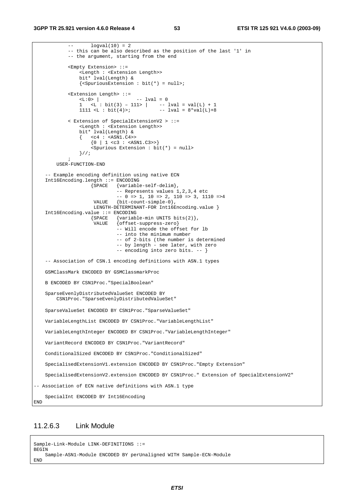```
-- logval(10) = 2 -- this can be also described as the position of the last '1' in 
             -- the argument, starting from the end 
             <Empty Extension> ::= 
                 <Length : <Extension Length>> 
                 bit* lval(Length) & 
                \{\leqSpuriousExtension : bit(*) = null>;
             <Extension Length> ::= 
                                     -- lval = 0
1 <L : bit(3) – 111> | -- lval = val(L) + 1
1111 <L : bit(4)>; - - lval = 8*val(L)+8 < Extension of SpecialExtensionV2 > ::= 
                 <Length : <Extension Length>> 
                 bit* lval(Length) & 
\{ \text{ cc4 : } \text{cASN1.c4}\{0 \mid 1 \leq c3 : \text{GAN1.C3>>}\} <Spurious Extension : bit(*) = null> 
                 }//; 
\mathcal{L}^{\text{max}} USER-FUNCTION-END 
     -- Example encoding definition using native ECN 
     Int16Encoding.length ::= ENCODING 
                     {SPACE {variable-self-delim}, 
                               -- Represents values 1,2,3,4 etc 
                             -- 0 => 1, 10 => 2, 110 => 3, 1110 =>4
                      VALUE {bit-count-simple-0}, 
                     LENGTH-DETERMINANT-FOR Int16Encoding.value }
     Int16Encoding.value ::= ENCODING 
                    {Space {variable-min} UNITS bits(2) },<br>VALUE {of}{set-suppress-zero}\{offset-suppress-zero\} -- Will encode the offset for lb 
                              -- into the minimum number 
                              -- of 2-bits (the number is determined 
                               -- by length - see later, with zero 
                              -- encoding into zero bits. -- } 
     -- Association of CSN.1 encoding definitions with ASN.1 types 
     GSMClassMark ENCODED BY GSMClassmarkProc 
    B ENCODED BY CSN1Proc."SpecialBoolean" 
    SparseEvenlyDistributedValueSet ENCODED BY 
        CSN1Proc."SparseEvenlyDistributedValueSet" 
     SparseValueSet ENCODED BY CSN1Proc."SparseValueSet" 
    VariableLengthList ENCODED BY CSN1Proc."VariableLengthList" 
    VariableLengthInteger ENCODED BY CSN1Proc."VariableLengthInteger" 
    VariantRecord ENCODED BY CSN1Proc."VariantRecord" 
     ConditionalSized ENCODED BY CSN1Proc."ConditionalSized" 
     SpecialisedExtensionV1.extension ENCODED BY CSN1Proc."Empty Extension" 
     SpecialisedExtensionV2.extension ENCODED BY CSN1Proc." Extension of SpecialExtensionV2" 
-- Association of ECN native definitions with ASN.1 type 
     SpecialInt ENCODED BY Int16Encoding 
END
```
### 11.2.6.3 Link Module

```
Sample-Link-Module LINK-DEFINITIONS ::= 
BEGIN 
    Sample-ASN1-Module ENCODED BY perUnaligned WITH Sample-ECN-Module 
END
```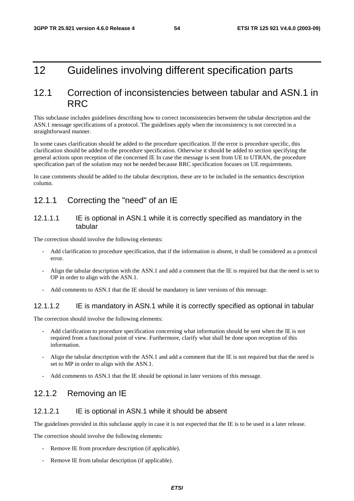## 12 Guidelines involving different specification parts

## 12.1 Correction of inconsistencies between tabular and ASN.1 in RRC

This subclause includes guidelines describing how to correct inconsistencies between the tabular description and the ASN.1 message specifications of a protocol. The guidelines apply when the inconsistency is not corrected in a straightforward manner.

In some cases clarification should be added to the procedure specification. If the error is procedure specific, this clarification should be added to the procedure specification. Otherwise it should be added to section specifying the general actions upon reception of the concerned IE In case the message is sent from UE to UTRAN, the procedure specification part of the solution may not be needed because RRC specification focuses on UE requirements.

In case comments should be added to the tabular description, these are to be included in the semantics description column.

## 12.1.1 Correcting the "need" of an IE

#### 12.1.1.1 IE is optional in ASN.1 while it is correctly specified as mandatory in the tabular

The correction should involve the following elements:

- Add clarification to procedure specification, that if the information is absent, it shall be considered as a protocol error.
- Align the tabular description with the ASN.1 and add a comment that the IE is required but that the need is set to OP in order to align with the ASN.1.
- Add comments to ASN.1 that the IE should be mandatory in later versions of this message.

#### 12.1.1.2 IE is mandatory in ASN.1 while it is correctly specified as optional in tabular

The correction should involve the following elements:

- Add clarification to procedure specification concerning what information should be sent when the IE is not required from a functional point of view. Furthermore, clarify what shall be done upon reception of this information.
- Align the tabular description with the ASN.1 and add a comment that the IE is not required but that the need is set to MP in order to align with the ASN.1.
- Add comments to ASN.1 that the IE should be optional in later versions of this message.

### 12.1.2 Removing an IE

#### 12.1.2.1 IE is optional in ASN.1 while it should be absent

The guidelines provided in this subclause apply in case it is not expected that the IE is to be used in a later release.

The correction should involve the following elements:

- Remove IE from procedure description (if applicable).
- Remove IE from tabular description (if applicable).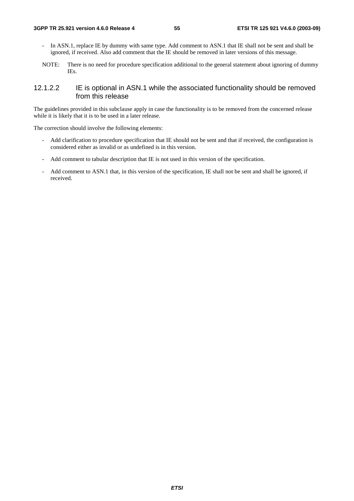- In ASN.1, replace IE by dummy with same type. Add comment to ASN.1 that IE shall not be sent and shall be ignored, if received. Also add comment that the IE should be removed in later versions of this message.
- NOTE: There is no need for procedure specification additional to the general statement about ignoring of dummy IEs.

### 12.1.2.2 IE is optional in ASN.1 while the associated functionality should be removed from this release

The guidelines provided in this subclause apply in case the functionality is to be removed from the concerned release while it is likely that it is to be used in a later release.

The correction should involve the following elements:

- Add clarification to procedure specification that IE should not be sent and that if received, the configuration is considered either as invalid or as undefined is in this version.
- Add comment to tabular description that IE is not used in this version of the specification.
- Add comment to ASN.1 that, in this version of the specification, IE shall not be sent and shall be ignored, if received.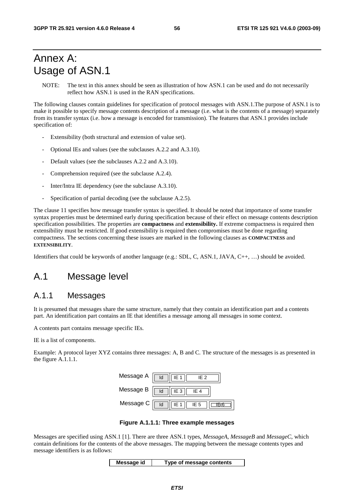## Annex A: Usage of ASN.1

NOTE: The text in this annex should be seen as illustration of how ASN.1 can be used and do not necessarily reflect how ASN.1 is used in the RAN specifications.

The following clauses contain guidelines for specification of protocol messages with ASN.1.The purpose of ASN.1 is to make it possible to specify message contents description of a message (i.e. what is the contents of a message) separately from its transfer syntax (i.e. how a message is encoded for transmission). The features that ASN.1 provides include specification of:

- Extensibility (both structural and extension of value set).
- Optional IEs and values (see the subclauses A.2.2 and A.3.10).
- Default values (see the subclauses A.2.2 and A.3.10).
- Comprehension required (see the subclause A.2.4).
- Inter/Intra IE dependency (see the subclause A.3.10).
- Specification of partial decoding (see the subclause A.2.5).

The clause 11 specifies how message transfer syntax is specified. It should be noted that importance of some transfer syntax properties must be determined early during specification because of their effect on message contents description specification possibilities. The properties are **compactness** and **extensibility.** If extreme compactness is required then extensibility must be restricted. If good extensibility is required then compromises must be done regarding compactness. The sections concerning these issues are marked in the following clauses as **COMPACTNESS** and **EXTENSIBILITY**.

Identifiers that could be keywords of another language (e.g.: SDL, C, ASN.1, JAVA, C++, …) should be avoided.

## A.1 Message level

## A.1.1 Messages

It is presumed that messages share the same structure, namely that they contain an identification part and a contents part. An identification part contains an IE that identifies a message among all messages in some context.

A contents part contains message specific IEs.

IE is a list of components.

Example: A protocol layer XYZ contains three messages: A, B and C. The structure of the messages is as presented in the figure A.1.1.1.



**Figure A.1.1.1: Three example messages** 

Messages are specified using ASN.1 [1]. There are three ASN.1 types, *MessageA*, *MessageB* and *MessageC*, which contain definitions for the contents of the above messages. The mapping between the message contents types and message identifiers is as follows:

**Message id Type of message contents**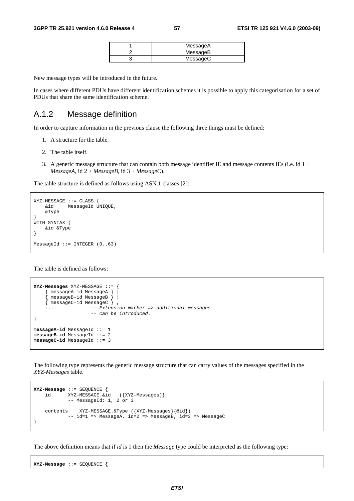| MessageA |
|----------|
| MessageB |
| MessageC |

New message types will be introduced in the future.

In cases where different PDUs have different identification schemes it is possible to apply this categorisation for a set of PDUs that share the same identification scheme.

## A.1.2 Message definition

In order to capture information in the previous clause the following three things must be defined:

- 1. A structure for the table.
- 2. The table itself.
- 3. A generic message structure that can contain both message identifier IE and message contents IEs (i.e. id  $1 +$  $MessageA$ , id  $2 + MessageB$ , id  $3 + MessageC$ .

The table structure is defined as follows using ASN.1 classes [2]:

```
XYZ-MERSSAGE ::= CIASS :
     &id MessageId UNIQUE, 
     &Type 
} 
WITH SYNTAX { 
     &id &Type 
} 
MessageId ::= INTEGER (0..63)
```
The table is defined as follows:

```
XYZ-Messages XYZ-MESSAGE ::= { 
     { messageA-id MessageA } | 
     { messageB-id MessageB } | 
     { messageC-id MessageC } , 
    ... -- Extension marker => additional messages
                     -- can be introduced. 
} 
messageA-id MessageId ::= 1 
messageB-id MessageId ::= 2 
messageC-id MessageId ::= 3
```
The following type represents the generic message structure that can carry values of the messages specified in the *XYZ-Messages* table.

```
XYZ-Message ::= SEQUENCE { 
 id XYZ-MESSAGE.&id ({XYZ-Messages)}, 
 -- MessageId: 1, 2 or 3 
    contents XYZ-MESSAGE.&Type ({XYZ-Messages}{@id}) 
          -- id=1 => MessageA, id=2 => MessageB, id=3 => MessageC
}
```
The above definition means that if *id* is 1 then the *Message* type could be interpreted as the following type:

**XYZ-Message** ::= SEQUENCE {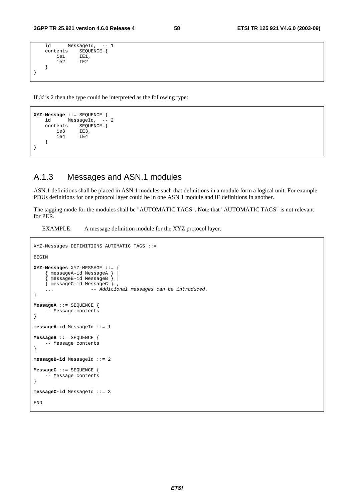```
 id MessageId, -- 1 
     contents SEQUENCE {<br>iel IE1,
           ie1 IE1,<br>ie2 IE2
                      ie2 IE2 
      } 
}
```
If *id* is 2 then the type could be interpreted as the following type:

```
XYZ-Message ::= SEQUENCE { 
         MessageId, -
    contents SEQUENCE { 
        ie3 IE3, 
        ie4 IE4 
    } 
}
```
## A.1.3 Messages and ASN.1 modules

ASN.1 definitions shall be placed in ASN.1 modules such that definitions in a module form a logical unit. For example PDUs definitions for one protocol layer could be in one ASN.1 module and IE definitions in another.

The tagging mode for the modules shall be "AUTOMATIC TAGS". Note that "AUTOMATIC TAGS" is not relevant for PER.

EXAMPLE: A message definition module for the XYZ protocol layer.

```
XYZ-Messages DEFINITIONS AUTOMATIC TAGS ::= 
BEGIN 
XYZ-Messages XYZ-MESSAGE ::= { 
     { messageA-id MessageA } | 
      { messageB-id MessageB } | 
    \overline{\{\n} messageC-id MessageC \overline{\}... \frac{3}{2} -- Additional messages can be introduced.
} 
MessageA ::= SEQUENCE { 
     -- Message contents 
} 
messageA-id MessageId ::= 1 
MessageB ::= SEQUENCE { 
     -- Message contents 
} 
messageB-id MessageId ::= 2 
MessageC ::= SEQUENCE { 
      -- Message contents 
} 
messageC-id MessageId ::= 3 
END
```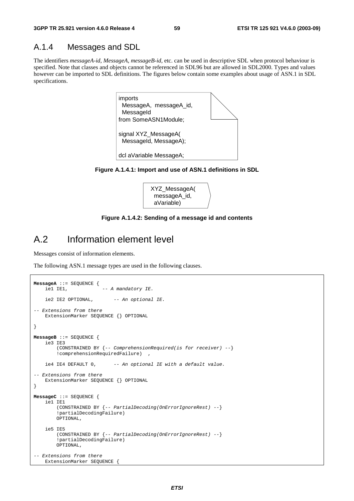### A.1.4 Messages and SDL

The identifiers *messageA-id*, *MessageA*, *messageB-id*, etc. can be used in descriptive SDL when protocol behaviour is specified. Note that classes and objects cannot be referenced in SDL96 but are allowed in SDL2000. Types and values however can be imported to SDL definitions. The figures below contain some examples about usage of ASN.1 in SDL specifications.



**Figure A.1.4.1: Import and use of ASN.1 definitions in SDL** 



#### **Figure A.1.4.2: Sending of a message id and contents**

## A.2 Information element level

Messages consist of information elements.

The following ASN.1 message types are used in the following clauses.

```
MessageA ::= SEQUENCE {<br>iel IEl,
                          -- A mandatory IE.
    ie2 IE2 OPTIONAL, -- An optional IE.
-- Extensions from there 
     ExtensionMarker SEQUENCE {} OPTIONAL 
} 
MessageB ::= SEQUENCE { 
     ie3 IE3 
         (CONSTRAINED BY {-- ComprehensionRequired(is for receiver) --} 
         !comprehensionRequiredFailure) , 
    ie4 IE4 DEFAULT 0, -- An optional IE with a default value.
-- Extensions from there 
     ExtensionMarker SEQUENCE {} OPTIONAL 
} 
MessageC ::= SEQUENCE { 
     ie1 IE1 
         (CONSTRAINED BY {-- PartialDecoding(OnErrorIgnoreRest) --} 
         !partialDecodingFailure) 
         OPTIONAL, 
     ie5 IE5 
         (CONSTRAINED BY {-- PartialDecoding(OnErrorIgnoreRest) --} 
         !partialDecodingFailure) 
         OPTIONAL, 
-- Extensions from there
     ExtensionMarker SEQUENCE {
```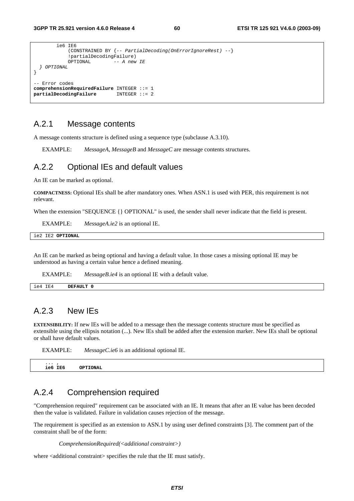```
 ie6 IE6 
               (CONSTRAINED BY {-- PartialDecoding(OnErrorIgnoreRest) --} 
              !partialDecodingFailure)<br>OPTIONAL -- A new
                                -- A new IE
   } OPTIONAL 
} 
   Error codes
comprehensionRequiredFailure INTEGER ::= 1 
partialDecodingFailure
```
## A.2.1 Message contents

A message contents structure is defined using a sequence type (subclause A.3.10).

EXAMPLE: *MessageA*, *MessageB* and *MessageC* are message contents structures.

### A.2.2 Optional IEs and default values

An IE can be marked as optional.

**COMPACTNESS:** Optional IEs shall be after mandatory ones. When ASN.1 is used with PER, this requirement is not relevant.

When the extension "SEQUENCE {} OPTIONAL" is used, the sender shall never indicate that the field is present.

EXAMPLE: *MessageA.ie2* is an optional IE.

|  | ie2 IE2 OPTIONAL |
|--|------------------|
|  |                  |

An IE can be marked as being optional and having a default value. In those cases a missing optional IE may be understood as having a certain value hence a defined meaning.

EXAMPLE: *MessageB.ie4* is an optional IE with a default value.

| IE4<br>1e4 | DEFAULT |  |
|------------|---------|--|
|            |         |  |

## A.2.3 New IEs

**EXTENSIBILITY:** If new IEs will be added to a message then the message contents structure must be specified as extensible using the ellipsis notation (...). New IEs shall be added after the extension marker. New IEs shall be optional or shall have default values.

|          | --------------- |           |
|----------|-----------------|-----------|
| $\cdots$ | ie6 IE6         | OPTTONAT. |

## A.2.4 Comprehension required

EXAMPLE: *MessageC.ie6* is an additional optional IE

"Comprehension required" requirement can be associated with an IE. It means that after an IE value has been decoded then the value is validated. Failure in validation causes rejection of the message.

The requirement is specified as an extension to ASN.1 by using user defined constraints [3]. The comment part of the constraint shall be of the form:

*ComprehensionRequired(<additional constraint>)* 

where <additional constraint> specifies the rule that the IE must satisfy.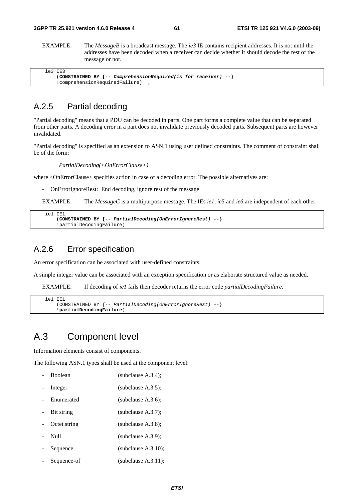EXAMPLE: The *MessageB* is a broadcast message. The *ie3* IE contains recipient addresses. It is not until the addresses have been decoded when a receiver can decide whether it should decode the rest of the message or not.

| ie3 IE3                                                                |
|------------------------------------------------------------------------|
| (CONSTRAINED BY $\{- -$ ComprehensionRequired(is for receiver) -- $\}$ |
| !comprehensionRequiredFailure)                                         |

## A.2.5 Partial decoding

"Partial decoding" means that a PDU can be decoded in parts. One part forms a complete value that can be separated from other parts. A decoding error in a part does not invalidate previously decoded parts. Subsequent parts are however invalidated.

"Partial decoding" is specified as an extension to ASN.1 using user defined constraints. The comment of constraint shall be of the form:

*PartialDecoding(<OnErrorClause>)* 

where <OnErrorClause> specifies action in case of a decoding error. The possible alternatives are:

- OnErrorIgnoreRest: End decoding, ignore rest of the message.

EXAMPLE: The *MessageC* is a multipurpose message. The IEs *ie1*, *ie5* and *ie6* are independent of each other.

```
 ie1 IE1 
     (CONSTRAINED BY {-- PartialDecoding(OnErrorIgnoreRest) --} 
     !partialDecodingFailure)
```
### A.2.6 Error specification

An error specification can be associated with user-defined constraints.

A simple integer value can be associated with an exception specification or as elaborate structured value as needed.

EXAMPLE: If decoding of *ie1* fails then decoder returns the error code *partialDecodingFailure*.

```
 ie1 IE1 
     (CONSTRAINED BY {-- PartialDecoding(OnErrorIgnoreRest) --} 
     !partialDecodingFailure)
```
## A.3 Component level

Information elements consist of components.

The following ASN.1 types shall be used at the component level:

| <b>Boolean</b> | (subclause $A.3.4$ );  |
|----------------|------------------------|
| Integer        | (subclause $A.3.5$ );  |
| Enumerated     | (subclause $A.3.6$ );  |
| Bit string     | (subclause $A.3.7$ );  |
| Octet string   | (subclause $A.3.8$ );  |
| Null           | (subclause $A.3.9$ );  |
| Sequence       | (subclause $A.3.10$ ); |
| Sequence-of    | (subclause $A.3.11$ ); |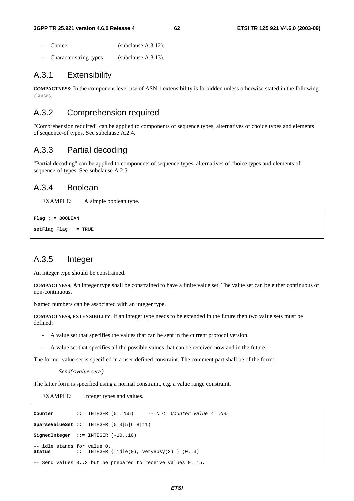- Choice (subclause A.3.12);
- Character string types (subclause A.3.13).

### A.3.1 Extensibility

**COMPACTNESS:** In the component level use of ASN.1 extensibility is forbidden unless otherwise stated in the following clauses.

### A.3.2 Comprehension required

"Comprehension required" can be applied to components of sequence types, alternatives of choice types and elements of sequence-of types. See subclause A.2.4.

## A.3.3 Partial decoding

"Partial decoding" can be applied to components of sequence types, alternatives of choice types and elements of sequence-of types. See subclause A.2.5.

### A.3.4 Boolean

EXAMPLE: A simple boolean type.

```
Flag ::= BOOLEAN 
setFlag Flag ::= TRUE
```
## A.3.5 Integer

An integer type should be constrained.

**COMPACTNESS:** An integer type shall be constrained to have a finite value set. The value set can be either continuous or non-continuous.

Named numbers can be associated with an integer type.

**COMPACTNESS, EXTENSIBILITY:** If an integer type needs to be extended in the future then two value sets must be defined:

- A value set that specifies the values that can be sent in the current protocol version.
- A value set that specifies all the possible values that can be received now and in the future.

The former value set is specified in a user-defined constraint. The comment part shall be of the form:

```
Send(<value set>)
```
The latter form is specified using a normal constraint, e.g. a value range constraint.

EXAMPLE: Integer types and values.

```
Counter ::= INTEGER (0..255) -- 0 <= Counter value <= 255 
SparseValueSet ::= INTEGER (0|3|5|6|8|11) 
SignedInteger ::= INTEGER (-10..10) 
-- idle stands for value 0.<br>Status ::= INTEGER
                 \text{SUS} = \text{INTER} \{ \text{ idle}(0), \text{veryBusy}(3) \} (0..3)-- Send values 0..3 but be prepared to receive values 0..15.
```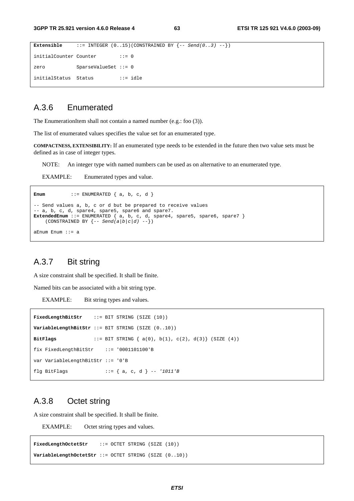```
Extensible ::= \text{INTER } (0..15)(\text{CONF} \text{REED BY } \{-\text{Send}(0..3) --\})initialCounter Counter ::= 0
zero SparseValueSet ::= 0 
initialStatus Status ::= idle
```
## A.3.6 Enumerated

The EnumerationItem shall not contain a named number (e.g.: foo (3)).

The list of enumerated values specifies the value set for an enumerated type.

**COMPACTNESS, EXTENSIBILITY:** If an enumerated type needs to be extended in the future then two value sets must be defined as in case of integer types.

NOTE: An integer type with named numbers can be used as on alternative to an enumerated type.

EXAMPLE: Enumerated types and value.

```
Enum \cdots ENUMERATED \{a, b, c, d\}-- Send values a, b, c or d but be prepared to receive values 
-- a, b, c, d, spare4, spare5, spare6 and spare7. 
ExtendedEnum ::= ENUMERATED { a, b, c, d, spare4, spare5, spare6, spare7 } 
    (CONSTRAINED BY \{-\text{Send}(a/b|c/d) \ \text{--}\})
aEnum Enum ::= a
```
## A.3.7 Bit string

A size constraint shall be specified. It shall be finite.

Named bits can be associated with a bit string type.

EXAMPLE: Bit string types and values.

```
FixedLengthBitStr ::= BIT STRING (SIZE (10)) 
VariableLengthBitStr ::= BIT STRING (SIZE (0..10)) 
BitFlags ::= BIT STRING { a(0), b(1), c(2), d(3)} (SIZE (4)) 
fix FixedLengthBitStr ::= '0001101100'B 
var VariableLengthBitStr ::= '0'B 
flg BitFlags ::= { a, c, d } -- '1011'B
```
### A.3.8 Octet string

A size constraint shall be specified. It shall be finite.

EXAMPLE: Octet string types and values.

**FixedLengthOctetStr** ::= OCTET STRING (SIZE (10)) **VariableLengthOctetStr** ::= OCTET STRING (SIZE (0..10))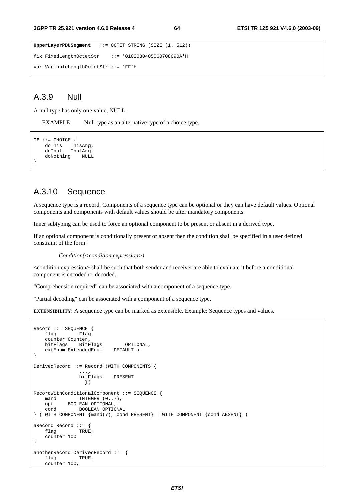```
UpperLayerPDUSegment ::= OCTET STRING (SIZE (1..512)) 
fix FixedLengthOctetStr ::= '0102030405060708090A'H 
var VariableLengthOctetStr ::= 'FF'H
```
## A.3.9 Null

A null type has only one value, NULL.

EXAMPLE: Null type as an alternative type of a choice type.

```
IE ::= CHOICE { 
 doThis ThisArg, 
 doThat ThatArg, 
    doNothing NULL 
}
```
### A.3.10 Sequence

A sequence type is a record. Components of a sequence type can be optional or they can have default values. Optional components and components with default values should be after mandatory components.

Inner subtyping can be used to force an optional component to be present or absent in a derived type.

If an optional component is conditionally present or absent then the condition shall be specified in a user defined constraint of the form:

*Condition(<condition expression>)* 

<condition expression> shall be such that both sender and receiver are able to evaluate it before a conditional component is encoded or decoded.

"Comprehension required" can be associated with a component of a sequence type.

"Partial decoding" can be associated with a component of a sequence type.

**EXTENSIBILITY:** A sequence type can be marked as extensible. Example: Sequence types and values.

```
Record ::= SEQUENCE {<br>flag Flag,
                Flag,
     counter Counter, 
    bitFlags BitFlags OPTIONAL,<br>extEnum ExtendedEnum DEFAULT a
    extEnum ExtendedEnum
} 
DerivedRecord ::= Record (WITH COMPONENTS { 
 ..., 
                  bitFlags PRESENT 
                   }) 
RecordWithConditionalComponent ::= SEQUENCE { 
    mand INTEGER (0..7),
    opt BOOLEAN OPTIONAL,<br>cond BOOLEAN OPTIO
              BOOLEAN OPTIONAL
} ( WITH COMPONENT {mand(7), cond PRESENT} | WITH COMPONENT {cond ABSENT} ) 
aRecord Record ::= { 
    flag TRUE,
     counter 100 
} 
anotherRecord DerivedRecord ::= { 
    flag TRUE,
     counter 100,
```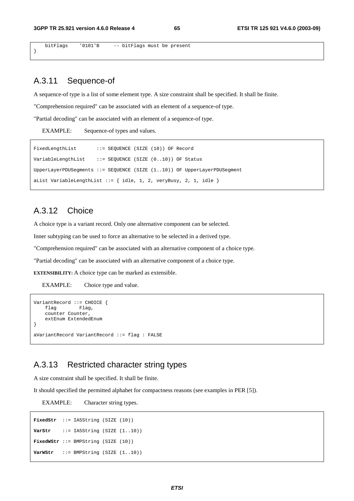bitFlags '0101'B -- bitFlags must be present

## A.3.11 Sequence-of

}

A sequence-of type is a list of some element type. A size constraint shall be specified. It shall be finite.

"Comprehension required" can be associated with an element of a sequence-of type.

"Partial decoding" can be associated with an element of a sequence-of type.

EXAMPLE: Sequence-of types and values.

```
FixedLengthList ::= SEQUENCE (SIZE (10)) OF Record
VariableLengthList ::= SEQUENCE (SIZE (0..10)) OF Status 
UpperLayerPDUSegments ::= SEQUENCE (SIZE (1..10)) OF UpperLayerPDUSegment 
aList VariableLengthList  ::= \{ idle, 1, 2, veryBusy, 2, 1, idle \}
```
## A.3.12 Choice

A choice type is a variant record. Only one alternative component can be selected.

Inner subtyping can be used to force an alternative to be selected in a derived type.

"Comprehension required" can be associated with an alternative component of a choice type.

"Partial decoding" can be associated with an alternative component of a choice type.

**EXTENSIBILITY:** A choice type can be marked as extensible.

EXAMPLE: Choice type and value.

```
VariantRecord ::= CHOICE { 
     flag Flag, 
     counter Counter, 
     extEnum ExtendedEnum 
} 
aVariantRecord VariantRecord ::= flag : FALSE
```
## A.3.13 Restricted character string types

A size constraint shall be specified. It shall be finite.

It should specified the permitted alphabet for compactness reasons (see examples in PER [5]).

EXAMPLE: Character string types.

```
FixedStr ::= IA5String (SIZE (10)) 
VarStr ::= IA5String (SIZE (1..10))
FixedWStr ::= BMPString (SIZE (10)) 
VarWStr ::= BMPString (SIZE (1..10))
```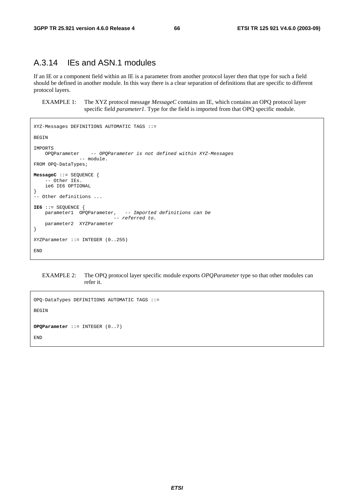## A.3.14 IEs and ASN.1 modules

If an IE or a component field within an IE is a parameter from another protocol layer then that type for such a field should be defined in another module. In this way there is a clear separation of definitions that are specific to different protocol layers.

EXAMPLE 1: The XYZ protocol message *MessageC* contains an IE, which contains an OPQ protocol layer specific field *parameter1*. Type for the field is imported from that OPQ specific module.

```
XYZ-Messages DEFINITIONS AUTOMATIC TAGS ::= 
BEGIN 
IMPORTS 
                    -- OPQParameter is not defined within XYZ-Messages
                -- module.
FROM OPQ-DataTypes; 
MessageC ::= SEQUENCE { 
     - Other IEs.
     ie6 IE6 OPTIONAL
} 
 -- Other definitions ... 
IE6 ::= SEQUENCE { 
   parameter1 OPQParameter, -- Imported definitions can be
                              -- referred to. 
     parameter2 XYZParameter 
} 
XYZParameter ::= INTEGER (0..255) 
END
```
EXAMPLE 2: The OPQ protocol layer specific module exports *OPQParameter* type so that other modules can refer it.

```
OPQ-DataTypes DEFINITIONS AUTOMATIC TAGS ::= 
BEGIN 
OPQParameter ::= INTEGER (0..7) 
END
```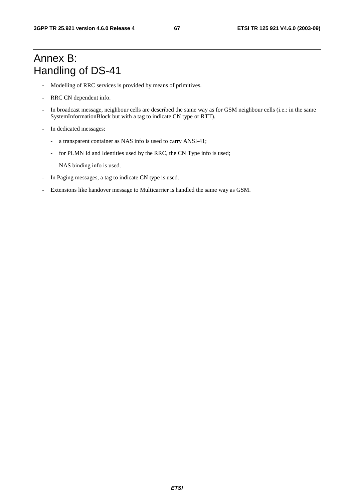## Annex B: Handling of DS-41

- Modelling of RRC services is provided by means of primitives.
- RRC CN dependent info.
- In broadcast message, neighbour cells are described the same way as for GSM neighbour cells (i.e.: in the same SystemInformationBlock but with a tag to indicate CN type or RTT).
- In dedicated messages:
	- a transparent container as NAS info is used to carry ANSI-41;
	- for PLMN Id and Identities used by the RRC, the CN Type info is used;
	- NAS binding info is used.
- In Paging messages, a tag to indicate CN type is used.
- Extensions like handover message to Multicarrier is handled the same way as GSM.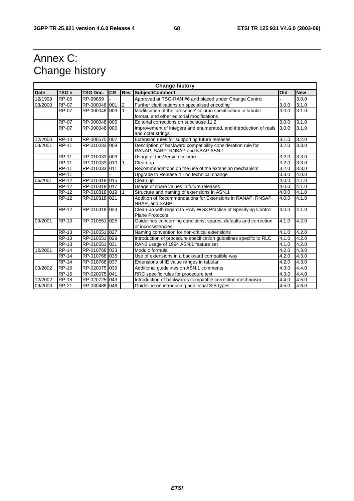## Annex C: Change history

| <b>Change history</b> |                     |                 |           |            |                                                                                                   |       |            |
|-----------------------|---------------------|-----------------|-----------|------------|---------------------------------------------------------------------------------------------------|-------|------------|
| <b>Date</b>           | TSG#                | <b>TSG Doc.</b> | <b>CR</b> | <b>Rev</b> | Subject/Comment                                                                                   | Old   | <b>New</b> |
| 12/1999               | <b>RP-06</b>        | RP-99659        |           |            | Approved at TSG-RAN #6 and placed under Change Control                                            |       | 3.0.0      |
| 03/2000               | <b>RP-07</b>        | RP-000048 001   |           | 2          | Further clarifications on specialised encoding                                                    | 3.0.0 | 3.1.0      |
|                       | <b>RP-07</b>        | RP-000048 003   |           | 1          | Modification of the 'presence' column specification in tabular                                    | 3.0.0 | 3.1.0      |
|                       |                     |                 |           |            | format, and other editorial modifications                                                         |       |            |
|                       | <b>RP-07</b>        | RP-000048 005   |           |            | Editorial corrections on subclause 11.2                                                           | 3.0.0 | 3.1.0      |
|                       | <b>RP-07</b>        | RP-000048 006   |           |            | Improvement of integers and enumerated, and introduction of reals<br>and octet strings            | 3.0.0 | 3.1.0      |
| 12/2000               | <b>RP-10</b>        | RP-000575 007   |           |            | Extension rules for supporting future releases                                                    | 3.1.0 | 3.2.0      |
| 03/2001               | <b>RP-11</b>        | RP-010033 008   |           |            | Description of backward compatibility consideration rule for<br>RANAP, SABP, RNSAP and NBAP ASN.1 | 3.2.0 | 3.3.0      |
|                       | <b>RP-11</b>        | RP-010033 009   |           |            | Usage of the Version column                                                                       | 3.2.0 | 3.3.0      |
|                       | <b>RP-11</b>        | RP-010033 010   |           |            | Clean-up                                                                                          | 3.2.0 | 3.3.0      |
|                       | <b>RP-11</b>        | RP-010033 011   |           |            | Recommendations on the use of the extension mechanism                                             | 3.2.0 | 3.3.0      |
|                       | <b>RP-11</b>        |                 |           |            | Upgrade to Release 4 - no technical change                                                        | 3.3.0 | 4.0.0      |
| 06/2001               | <b>RP-12</b>        | RP-010318 015   |           |            | Clean up                                                                                          | 4.0.0 | 4.1.0      |
|                       | <b>RP-12</b>        | RP-010318 017   |           |            | Usage of spare values in future releases                                                          | 4.0.0 | 4.1.0      |
|                       | <b>RP-12</b>        | RP-010318 019   |           |            | Structure and naming of extensions in ASN.1                                                       | 4.0.0 | 4.1.0      |
|                       | $RP-12$             | RP-010318 021   |           |            | Addition of Recommendations for Extensions in RANAP, RNSAP,<br>NBAP, and SABP                     | 4.0.0 | 4.1.0      |
|                       | $RP-12$             | RP-010318 023   |           |            | Clean-up with regard to RAN WG3 Practise of Specifying Control<br><b>Plane Protocols</b>          | 4.0.0 | 4.1.0      |
| 09/2001               | <b>RP-13</b>        | RP-010551       | 025       |            | Guidelines concerning conditions, spares, defaults and correction<br>of inconsistencies           | 4.1.0 | 4.2.0      |
|                       | $\overline{RP}$ -13 | RP-010551       | 027       |            | Naming convention for non-critical extensions                                                     | 4.1.0 | 4.2.0      |
|                       | <b>RP-13</b>        | RP-010551       | 029       |            | Introduction of procedure specification quidelines specific to RLC                                | 4.1.0 | 4.2.0      |
|                       | <b>RP-13</b>        | RP-010551       | 031       |            | RAN3 usage of 1994 ASN.1 feature set                                                              | 4.1.0 | 4.2.0      |
| 12/2001               | <b>RP-14</b>        | RP-010768 033   |           |            | Modulo formula                                                                                    | 4.2.0 | 4.3.0      |
|                       | <b>RP-14</b>        | RP-010768 035   |           |            | Use of extensions in a backward compatible way                                                    | 4.2.0 | 4.3.0      |
|                       | <b>RP-14</b>        | RP-010768 037   |           |            | Extensions of IE value ranges in tabular                                                          | 4.2.0 | 4.3.0      |
| 03/2002               | <b>RP-15</b>        | RP-020075 039   |           |            | Additional quidelines on ASN.1 comments                                                           | 4.3.0 | 4.4.0      |
|                       | <b>RP-15</b>        | RP-020075 041   |           |            | RRC specific rules for procedure text                                                             | 4.3.0 | 4.4.0      |
| 12/2002               | <b>RP-18</b>        | RP-020725 043   |           |            | Introduction of backwards compatible correction mechanism                                         | 4.4.0 | 4.5.0      |
| 09/2003               | <b>RP-21</b>        | RP-030488 046   |           |            | Guideline on introducing additional SIB types                                                     | 4.5.0 | 4.6.0      |